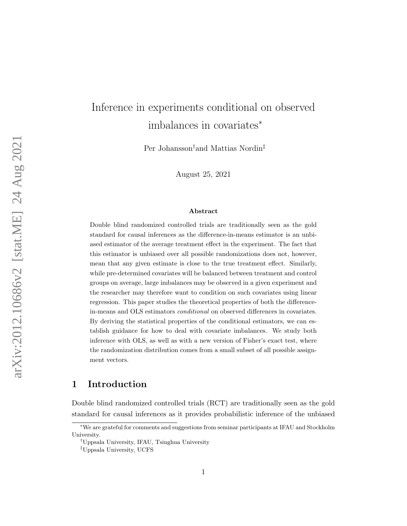# Inference in experiments conditional on observed imbalances in covariates<sup>∗</sup>

Per Johansson†and Mattias Nordin‡

August 25, 2021

#### Abstract

Double blind randomized controlled trials are traditionally seen as the gold standard for causal inferences as the difference-in-means estimator is an unbiased estimator of the average treatment effect in the experiment. The fact that this estimator is unbiased over all possible randomizations does not, however, mean that any given estimate is close to the true treatment effect. Similarly, while pre-determined covariates will be balanced between treatment and control groups on average, large imbalances may be observed in a given experiment and the researcher may therefore want to condition on such covariates using linear regression. This paper studies the theoretical properties of both the differencein-means and OLS estimators conditional on observed differences in covariates. By deriving the statistical properties of the conditional estimators, we can establish guidance for how to deal with covariate imbalances. We study both inference with OLS, as well as with a new version of Fisher's exact test, where the randomization distribution comes from a small subset of all possible assignment vectors.

## 1 Introduction

Double blind randomized controlled trials (RCT) are traditionally seen as the gold standard for causal inferences as it provides probabilistic inference of the unbiased

<sup>∗</sup>We are grateful for comments and suggestions from seminar participants at IFAU and Stockholm University.

<sup>†</sup>Uppsala University, IFAU, Tsinghua University

<sup>‡</sup>Uppsala University, UCFS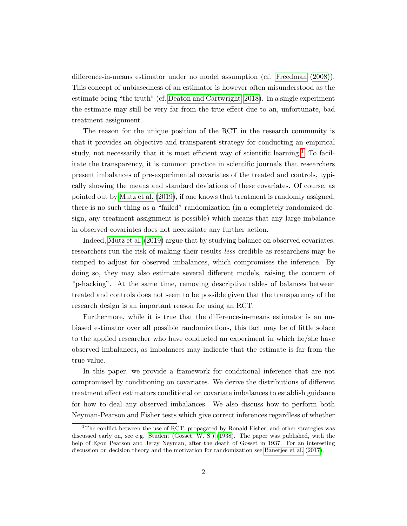difference-in-means estimator under no model assumption (cf. [Freedman](#page-36-0) [\(2008\)](#page-36-0)). This concept of unbiasedness of an estimator is however often misunderstood as the estimate being "the truth" (cf. [Deaton and Cartwright, 2018\)](#page-36-1). In a single experiment the estimate may still be very far from the true effect due to an, unfortunate, bad treatment assignment.

The reason for the unique position of the RCT in the research community is that it provides an objective and transparent strategy for conducting an empirical study, not necessarily that it is most efficient way of scientific learning.<sup>[1](#page-1-0)</sup> To facilitate the transparency, it is common practice in scientific journals that researchers present imbalances of pre-experimental covariates of the treated and controls, typically showing the means and standard deviations of these covariates. Of course, as pointed out by [Mutz et al.](#page-37-0) [\(2019\)](#page-37-0), if one knows that treatment is randomly assigned, there is no such thing as a "failed" randomization (in a completely randomized design, any treatment assignment is possible) which means that any large imbalance in observed covariates does not necessitate any further action.

Indeed, [Mutz et al.](#page-37-0) [\(2019\)](#page-37-0) argue that by studying balance on observed covariates, researchers run the risk of making their results less credible as researchers may be temped to adjust for observed imbalances, which compromises the inference. By doing so, they may also estimate several different models, raising the concern of "p-hacking". At the same time, removing descriptive tables of balances between treated and controls does not seem to be possible given that the transparency of the research design is an important reason for using an RCT.

Furthermore, while it is true that the difference-in-means estimator is an unbiased estimator over all possible randomizations, this fact may be of little solace to the applied researcher who have conducted an experiment in which he/she have observed imbalances, as imbalances may indicate that the estimate is far from the true value.

In this paper, we provide a framework for conditional inference that are not compromised by conditioning on covariates. We derive the distributions of different treatment effect estimators conditional on covariate imbalances to establish guidance for how to deal any observed imbalances. We also discuss how to perform both Neyman-Pearson and Fisher tests which give correct inferences regardless of whether

<span id="page-1-0"></span><sup>&</sup>lt;sup>1</sup>The conflict between the use of RCT, propagated by Ronald Fisher, and other strategies was discussed early on, see e.g. [Student \(Gosset, W. S.\)](#page-37-1) [\(1938\)](#page-37-1). The paper was published, with the help of Egon Pearson and Jerzy Neyman, after the death of Gosset in 1937. For an interesting discussion on decision theory and the motivation for randomization see [Banerjee et al.](#page-36-2) [\(2017\)](#page-36-2).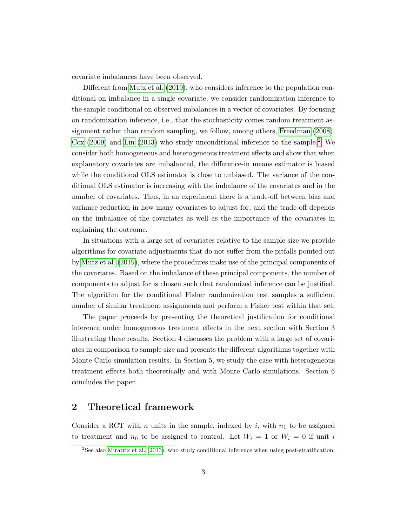covariate imbalances have been observed.

Different from [Mutz et al.](#page-37-0) [\(2019\)](#page-37-0), who considers inference to the population conditional on imbalance in a single covariate, we consider randomization inference to the sample conditional on observed imbalances in a vector of covariates. By focusing on randomization inference, i.e., that the stochasticity comes random treatment assignment rather than random sampling, we follow, among others, [Freedman](#page-36-0) [\(2008\)](#page-36-0), [Cox](#page-36-3)  $(2009)$  and [Lin](#page-37-2)  $(2013)$  who study unconditional inference to the sample.<sup>[2](#page-2-0)</sup> We consider both homogeneous and heterogeneous treatment effects and show that when explanatory covariates are imbalanced, the difference-in means estimator is biased while the conditional OLS estimator is close to unbiased. The variance of the conditional OLS estimator is increasing with the imbalance of the covariates and in the number of covariates. Thus, in an experiment there is a trade-off between bias and variance reduction in how many covariates to adjust for, and the trade-off depends on the imbalance of the covariates as well as the importance of the covariates in explaining the outcome.

In situations with a large set of covariates relative to the sample size we provide algorithms for covariate-adjustments that do not suffer from the pitfalls pointed out by [Mutz et al.](#page-37-0) [\(2019\)](#page-37-0), where the procedures make use of the principal components of the covariates. Based on the imbalance of these principal components, the number of components to adjust for is chosen such that randomized inference can be justified. The algorithm for the conditional Fisher randomization test samples a sufficient number of similar treatment assignments and perform a Fisher test within that set.

The paper proceeds by presenting the theoretical justification for conditional inference under homogeneous treatment effects in the next section with Section 3 illustrating these results. Section 4 discusses the problem with a large set of covariates in comparison to sample size and presents the different algorithms together with Monte Carlo simulation results. In Section 5, we study the case with heterogeneous treatment effects both theoretically and with Monte Carlo simulations. Section 6 concludes the paper.

## 2 Theoretical framework

Consider a RCT with n units in the sample, indexed by i, with  $n_1$  to be assigned to treatment and  $n_0$  to be assigned to control. Let  $W_i = 1$  or  $W_i = 0$  if unit i

<span id="page-2-0"></span><sup>2</sup>See also [Miratrix et al.](#page-37-3) [\(2013\)](#page-37-3), who study conditional inference when using post-stratification.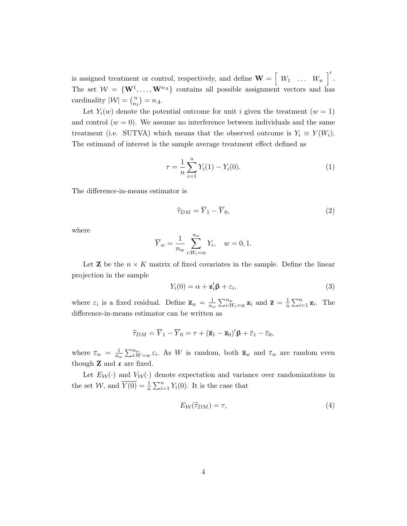is assigned treatment or control, respectively, and define  $\mathbf{W} = \begin{bmatrix} W_1 & \dots & W_n \end{bmatrix}'$ . The set  $W = \{W^1, \ldots, W^{n_A}\}\)$  contains all possible assignment vectors and has cardinality  $|\mathcal{W}| = \binom{n}{n}$  $\binom{n}{n_1} = n_A.$ 

Let  $Y_i(w)$  denote the potential outcome for unit i given the treatment  $(w = 1)$ and control  $(w = 0)$ . We assume no interference between individuals and the same treatment (i.e. SUTVA) which means that the observed outcome is  $Y_i \equiv Y(W_i)$ . The estimand of interest is the sample average treatment effect defined as

$$
\tau = \frac{1}{n} \sum_{i=1}^{n} Y_i(1) - Y_i(0). \tag{1}
$$

The difference-in-means estimator is

$$
\widehat{\tau}_{DM} = \overline{Y}_1 - \overline{Y}_0,\tag{2}
$$

where

$$
\overline{Y}_w = \frac{1}{n_w} \sum_{i:W_i=w}^{n_w} Y_i, \quad w = 0, 1.
$$

Let **Z** be the  $n \times K$  matrix of fixed covariates in the sample. Define the linear projection in the sample

$$
Y_i(0) = \alpha + \mathbf{z}_i' \mathbf{\beta} + \varepsilon_i,\tag{3}
$$

where  $\varepsilon_i$  is a fixed residual. Define  $\bar{\mathbf{z}}_w = \frac{1}{n_s}$  $\frac{1}{n_w} \sum_{i:W_i=w}^{n_w} \mathbf{z}_i$  and  $\overline{\mathbf{z}} = \frac{1}{n}$  $\frac{1}{n} \sum_{i=1}^{n} \mathbf{z}_i$ . The difference-in-means estimator can be written as

$$
\widehat{\tau}_{DM} = \overline{Y}_1 - \overline{Y}_0 = \tau + (\overline{\mathbf{z}}_1 - \overline{\mathbf{z}}_0)' \boldsymbol{\beta} + \overline{\varepsilon}_1 - \overline{\varepsilon}_0,
$$

where  $\overline{\varepsilon}_w = \frac{1}{n_s}$  $\frac{1}{n_w}\sum_{i:W=w}^{n_w}\varepsilon_i$ . As W is random, both  $\overline{z}_w$  and  $\overline{\varepsilon}_w$  are random even though  $Z$  and  $\varepsilon$  are fixed.

Let  $E_W(\cdot)$  and  $V_W(\cdot)$  denote expectation and variance over randomizations in the set  $W$ , and  $\overline{Y(0)} = \frac{1}{n} \sum_{i=1}^{n} Y_i(0)$ . It is the case that

$$
E_{\mathcal{W}}(\hat{\tau}_{DM}) = \tau,\tag{4}
$$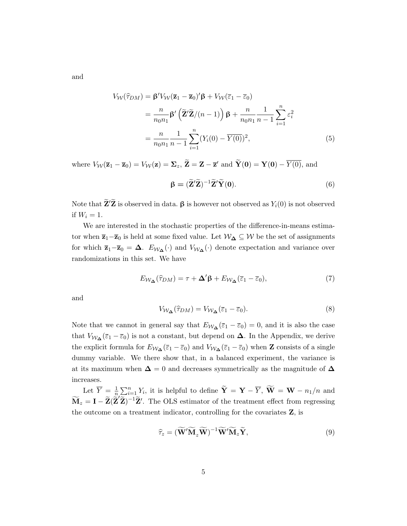and

$$
V_{\mathcal{W}}(\hat{\tau}_{DM}) = \beta' V_{\mathcal{W}}(\overline{\mathbf{z}}_1 - \overline{\mathbf{z}}_0)' \beta + V_{\mathcal{W}}(\overline{\varepsilon}_1 - \overline{\varepsilon}_0)
$$
  

$$
= \frac{n}{n_0 n_1} \beta' \left( \widetilde{\mathbf{Z}}' \widetilde{\mathbf{Z}} / (n - 1) \right) \beta + \frac{n}{n_0 n_1} \frac{1}{n - 1} \sum_{i=1}^n \varepsilon_i^2
$$
  

$$
= \frac{n}{n_0 n_1} \frac{1}{n - 1} \sum_{i=1}^n (Y_i(0) - \overline{Y(0)})^2,
$$
 (5)

where  $V_{\mathcal{W}}(\overline{\mathbf{z}}_1 - \overline{\mathbf{z}}_0) = V_{\mathcal{W}}(\mathbf{z}) = \Sigma_z$ ,  $\widetilde{\mathbf{Z}} = \mathbf{Z} - \overline{\mathbf{z}}'$  and  $\widetilde{\mathbf{Y}}(\mathbf{0}) = \mathbf{Y}(\mathbf{0}) - \overline{Y(0)}$ , and

$$
\beta = (\widetilde{\mathbf{Z}}'\widetilde{\mathbf{Z}})^{-1}\widetilde{\mathbf{Z}}'\widetilde{\mathbf{Y}}(\mathbf{0}).
$$
\n(6)

Note that  $\mathbf{Z}'\mathbf{Z}$  is observed in data.  $\boldsymbol{\beta}$  is however not observed as  $Y_i(0)$  is not observed if  $W_i = 1$ .

We are interested in the stochastic properties of the difference-in-means estimator when  $\bar{z}_1-\bar{z}_0$  is held at some fixed value. Let  $\mathcal{W}_{\Delta} \subseteq \mathcal{W}$  be the set of assignments for which  $\bar{z}_1-\bar{z}_0 = \Delta$ .  $E_{\mathcal{W}_{\Delta}}(\cdot)$  and  $V_{\mathcal{W}_{\Delta}}(\cdot)$  denote expectation and variance over randomizations in this set. We have

<span id="page-4-1"></span>
$$
E_{\mathcal{W}_{\Delta}}(\widehat{\tau}_{DM}) = \tau + \Delta' \beta + E_{\mathcal{W}_{\Delta}}(\overline{\varepsilon}_1 - \overline{\varepsilon}_0),\tag{7}
$$

and

<span id="page-4-0"></span>
$$
V_{\mathcal{W}_{\Delta}}(\hat{\tau}_{DM}) = V_{\mathcal{W}_{\Delta}}(\bar{\varepsilon}_1 - \bar{\varepsilon}_0). \tag{8}
$$

Note that we cannot in general say that  $E_{W_{\Delta}}(\bar{\epsilon}_1 - \bar{\epsilon}_0) = 0$ , and it is also the case that  $V_{W_{\Delta}}(\bar{\varepsilon}_1 - \bar{\varepsilon}_0)$  is not a constant, but depend on  $\Delta$ . In the Appendix, we derive the explicit formula for  $E_{W_{\Delta}}(\bar{\epsilon}_1 - \bar{\epsilon}_0)$  and  $V_{W_{\Delta}}(\bar{\epsilon}_1 - \bar{\epsilon}_0)$  when **Z** consists of a single dummy variable. We there show that, in a balanced experiment, the variance is at its maximum when  $\Delta = 0$  and decreases symmetrically as the magnitude of  $\Delta$ increases.

Let  $\overline{Y} = \frac{1}{n}$  $\frac{1}{n} \sum_{i=1}^{n} Y_i$ , it is helpful to define  $\widetilde{\mathbf{Y}} = \mathbf{Y} - \overline{Y}$ ,  $\widetilde{\mathbf{W}} = \mathbf{W} - n_1/n$  and  $\widetilde{\mathbf{M}}_z = \mathbf{I} - \widetilde{\mathbf{Z}}(\widetilde{\mathbf{Z}}'\widetilde{\mathbf{Z}})^{-1}\widetilde{\mathbf{Z}}'.$  The OLS estimator of the treatment effect from regressing the outcome on a treatment indicator, controlling for the covariates  $Z$ , is

$$
\widehat{\tau}_z = (\widetilde{\mathbf{W}}' \widetilde{\mathbf{M}}_z \widetilde{\mathbf{W}})^{-1} \widetilde{\mathbf{W}}' \widetilde{\mathbf{M}}_z \widetilde{\mathbf{Y}},
$$
\n(9)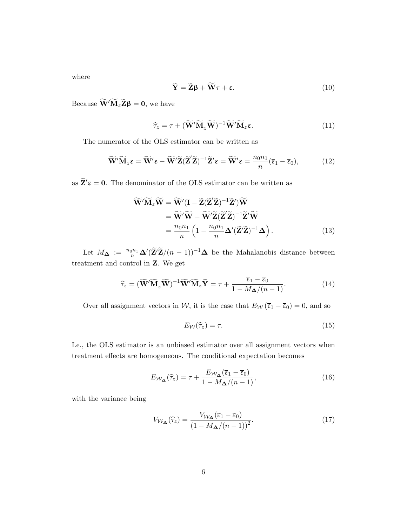where

$$
\widetilde{\mathbf{Y}} = \widetilde{\mathbf{Z}}\boldsymbol{\beta} + \widetilde{\mathbf{W}}\boldsymbol{\tau} + \boldsymbol{\epsilon}.\tag{10}
$$

Because  $\widetilde{\mathbf{W}}'\widetilde{\mathbf{M}}_{z}\widetilde{\mathbf{Z}}\boldsymbol{\beta} = \mathbf{0}$ , we have

$$
\widehat{\tau}_z = \tau + (\widetilde{\mathbf{W}}' \widetilde{\mathbf{M}}_z \widetilde{\mathbf{W}})^{-1} \widetilde{\mathbf{W}}' \widetilde{\mathbf{M}}_z \mathbf{\varepsilon}.
$$
\n(11)

The numerator of the OLS estimator can be written as

$$
\widetilde{\mathbf{W}}'\widetilde{\mathbf{M}}_{z}\boldsymbol{\epsilon} = \widetilde{\mathbf{W}}'\boldsymbol{\epsilon} - \widetilde{\mathbf{W}}'\widetilde{\mathbf{Z}}(\widetilde{\mathbf{Z}}'\widetilde{\mathbf{Z}})^{-1}\widetilde{\mathbf{Z}}'\boldsymbol{\epsilon} = \widetilde{\mathbf{W}}'\boldsymbol{\epsilon} = \frac{n_0 n_1}{n}(\overline{\epsilon}_1 - \overline{\epsilon}_0),
$$
(12)

as  $\widetilde{\mathbf{Z}}'\boldsymbol{\epsilon} = \mathbf{0}.$  The denominator of the OLS estimator can be written as

$$
\widetilde{\mathbf{W}}'\widetilde{\mathbf{M}}_{z}\widetilde{\mathbf{W}} = \widetilde{\mathbf{W}}'(\mathbf{I} - \widetilde{\mathbf{Z}}(\widetilde{\mathbf{Z}}'\widetilde{\mathbf{Z}})^{-1}\widetilde{\mathbf{Z}}')\widetilde{\mathbf{W}}
$$
\n
$$
= \widetilde{\mathbf{W}}'\widetilde{\mathbf{W}} - \widetilde{\mathbf{W}}'\widetilde{\mathbf{Z}}(\widetilde{\mathbf{Z}}'\widetilde{\mathbf{Z}})^{-1}\widetilde{\mathbf{Z}}'\widetilde{\mathbf{W}}
$$
\n
$$
= \frac{n_0 n_1}{n} \left(1 - \frac{n_0 n_1}{n} \Delta'(\widetilde{\mathbf{Z}}'\widetilde{\mathbf{Z}})^{-1} \Delta\right). \tag{13}
$$

Let  $M_{\Delta} := \frac{n_0 n_1}{n} \Delta'(\tilde{Z}^{\prime} \tilde{Z}/(n-1))^{-1} \Delta$  be the Mahalanobis distance between treatment and control in Z. We get

$$
\widehat{\tau}_z = (\widetilde{\mathbf{W}}' \widetilde{\mathbf{M}}_z \widetilde{\mathbf{W}})^{-1} \widetilde{\mathbf{W}}' \widetilde{\mathbf{M}}_z \widetilde{\mathbf{Y}} = \tau + \frac{\overline{\epsilon}_1 - \overline{\epsilon}_0}{1 - M_{\Delta}/(n-1)}.
$$
(14)

Over all assignment vectors in W, it is the case that  $E_W(\bar{\epsilon}_1 - \bar{\epsilon}_0) = 0$ , and so

$$
E_{\mathcal{W}}(\hat{\tau}_z) = \tau. \tag{15}
$$

I.e., the OLS estimator is an unbiased estimator over all assignment vectors when treatment effects are homogeneous. The conditional expectation becomes

<span id="page-5-1"></span>
$$
E_{\mathcal{W}_{\Delta}}(\widehat{\tau}_z) = \tau + \frac{E_{\mathcal{W}_{\Delta}}(\overline{\epsilon}_1 - \overline{\epsilon}_0)}{1 - M_{\Delta}/(n - 1)},\tag{16}
$$

with the variance being

<span id="page-5-0"></span>
$$
V_{\mathcal{W}_{\Delta}}(\widehat{\tau}_z) = \frac{V_{\mathcal{W}_{\Delta}}(\overline{\varepsilon}_1 - \overline{\varepsilon}_0)}{\left(1 - M_{\Delta}/(n-1)\right)^2}.
$$
\n(17)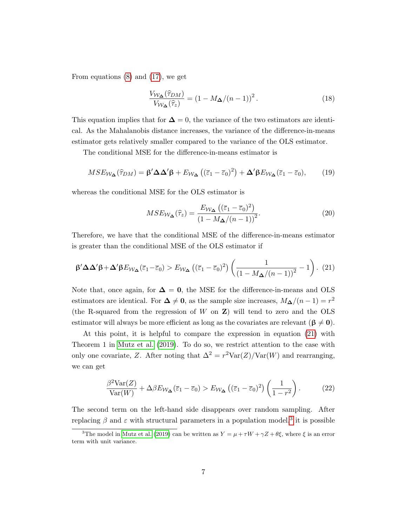From equations [\(8\)](#page-4-0) and [\(17\)](#page-5-0), we get

$$
\frac{V_{\mathcal{W}_{\Delta}}(\hat{\tau}_{DM})}{V_{\mathcal{W}_{\Delta}}(\hat{\tau}_z)} = (1 - M_{\Delta}/(n-1))^2.
$$
 (18)

This equation implies that for  $\Delta = 0$ , the variance of the two estimators are identical. As the Mahalanobis distance increases, the variance of the difference-in-means estimator gets relatively smaller compared to the variance of the OLS estimator.

The conditional MSE for the difference-in-means estimator is

$$
MSE_{\mathcal{W}_{\Delta}}(\widehat{\tau}_{DM}) = \beta' \Delta \Delta' \beta + E_{\mathcal{W}_{\Delta}}((\overline{\varepsilon}_1 - \overline{\varepsilon}_0)^2) + \Delta' \beta E_{\mathcal{W}_{\Delta}}(\overline{\varepsilon}_1 - \overline{\varepsilon}_0),\tag{19}
$$

whereas the conditional MSE for the OLS estimator is

$$
MSE_{\mathcal{W}_{\Delta}}(\widehat{\tau}_z) = \frac{E_{\mathcal{W}_{\Delta}}\left((\overline{\varepsilon}_1 - \overline{\varepsilon}_0)^2\right)}{\left(1 - M_{\Delta}/(n-1)\right)^2}.
$$
\n(20)

Therefore, we have that the conditional MSE of the difference-in-means estimator is greater than the conditional MSE of the OLS estimator if

<span id="page-6-0"></span>
$$
\beta' \Delta \Delta' \beta + \Delta' \beta E_{\mathcal{W}_{\Delta}}(\overline{\varepsilon}_1 - \overline{\varepsilon}_0) > E_{\mathcal{W}_{\Delta}}\left((\overline{\varepsilon}_1 - \overline{\varepsilon}_0)^2\right) \left(\frac{1}{\left(1 - M_{\Delta}/(n-1)\right)^2} - 1\right). (21)
$$

Note that, once again, for  $\Delta = 0$ , the MSE for the difference-in-means and OLS estimators are identical. For  $\Delta \neq 0$ , as the sample size increases,  $M_{\Delta}/(n-1) = r^2$ (the R-squared from the regression of  $W$  on  $Z$ ) will tend to zero and the OLS estimator will always be more efficient as long as the covariates are relevant  $(\beta \neq 0)$ .

At this point, it is helpful to compare the expression in equation [\(21\)](#page-6-0) with Theorem 1 in [Mutz et al.](#page-37-0) [\(2019\)](#page-37-0). To do so, we restrict attention to the case with only one covariate, Z. After noting that  $\Delta^2 = r^2 \text{Var}(Z)/\text{Var}(W)$  and rearranging, we can get

$$
\frac{\beta^2 \text{Var}(Z)}{\text{Var}(W)} + \Delta \beta E_{\mathcal{W}_{\Delta}}(\overline{\varepsilon}_1 - \overline{\varepsilon}_0) > E_{\mathcal{W}_{\Delta}}\left((\overline{\varepsilon}_1 - \overline{\varepsilon}_0)^2\right) \left(\frac{1}{1 - r^2}\right). \tag{22}
$$

The second term on the left-hand side disappears over random sampling. After replacing  $\beta$  and  $\varepsilon$  with structural parameters in a population model,<sup>[3](#page-6-1)</sup> it is possible

<span id="page-6-1"></span><sup>&</sup>lt;sup>3</sup>The model in [Mutz et al.](#page-37-0) [\(2019\)](#page-37-0) can be written as  $Y = \mu + \tau W + \gamma Z + \theta \xi$ , where  $\xi$  is an error term with unit variance.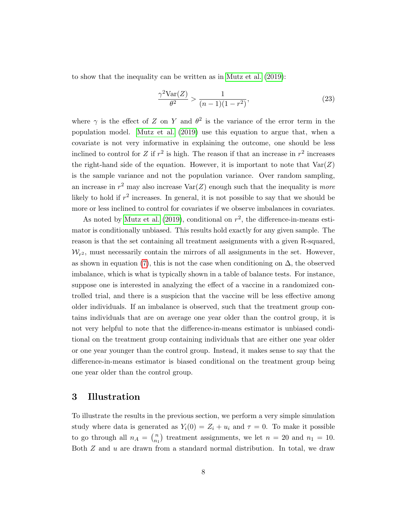to show that the inequality can be written as in [Mutz et al.](#page-37-0) [\(2019\)](#page-37-0):

$$
\frac{\gamma^2 \text{Var}(Z)}{\theta^2} > \frac{1}{(n-1)(1-r^2)},\tag{23}
$$

where  $\gamma$  is the effect of Z on Y and  $\theta^2$  is the variance of the error term in the population model. [Mutz et al.](#page-37-0) [\(2019\)](#page-37-0) use this equation to argue that, when a covariate is not very informative in explaining the outcome, one should be less inclined to control for Z if  $r^2$  is high. The reason if that an increase in  $r^2$  increases the right-hand side of the equation. However, it is important to note that  $\text{Var}(Z)$ is the sample variance and not the population variance. Over random sampling, an increase in  $r^2$  may also increase  $\text{Var}(Z)$  enough such that the inequality is more likely to hold if  $r^2$  increases. In general, it is not possible to say that we should be more or less inclined to control for covariates if we observe imbalances in covariates.

As noted by [Mutz et al.](#page-37-0) [\(2019\)](#page-37-0), conditional on  $r^2$ , the difference-in-means estimator is conditionally unbiased. This results hold exactly for any given sample. The reason is that the set containing all treatment assignments with a given R-squared,  $W_{r^2}$ , must necessarily contain the mirrors of all assignments in the set. However, as shown in equation [\(7\)](#page-4-1), this is not the case when conditioning on  $\Delta$ , the observed imbalance, which is what is typically shown in a table of balance tests. For instance, suppose one is interested in analyzing the effect of a vaccine in a randomized controlled trial, and there is a suspicion that the vaccine will be less effective among older individuals. If an imbalance is observed, such that the treatment group contains individuals that are on average one year older than the control group, it is not very helpful to note that the difference-in-means estimator is unbiased conditional on the treatment group containing individuals that are either one year older or one year younger than the control group. Instead, it makes sense to say that the difference-in-means estimator is biased conditional on the treatment group being one year older than the control group.

## <span id="page-7-0"></span>3 Illustration

To illustrate the results in the previous section, we perform a very simple simulation study where data is generated as  $Y_i(0) = Z_i + u_i$  and  $\tau = 0$ . To make it possible to go through all  $n_A = \binom{n}{n_A}$  $n_1 \choose n_1$  treatment assignments, we let  $n = 20$  and  $n_1 = 10$ . Both  $Z$  and  $u$  are drawn from a standard normal distribution. In total, we draw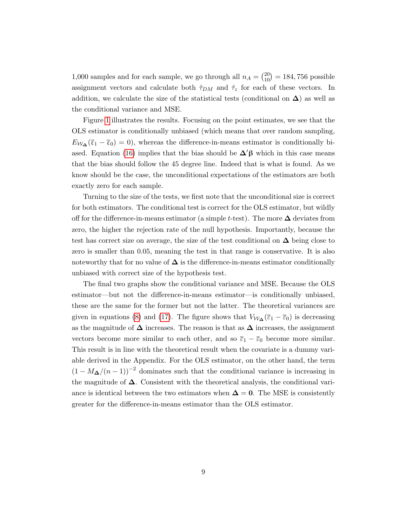1,000 samples and for each sample, we go through all  $n_A = \binom{20}{10} = 184,756$  possible assignment vectors and calculate both  $\hat{\tau}_{DM}$  and  $\hat{\tau}_z$  for each of these vectors. In addition, we calculate the size of the statistical tests (conditional on  $\Delta$ ) as well as the conditional variance and MSE.

Figure [1](#page-9-0) illustrates the results. Focusing on the point estimates, we see that the OLS estimator is conditionally unbiased (which means that over random sampling,  $E_{W_{\Delta}}(\bar{\epsilon}_1 - \bar{\epsilon}_0) = 0$ , whereas the difference-in-means estimator is conditionally bi-ased. Equation [\(16\)](#page-5-1) implies that the bias should be  $\Delta' \beta$  which in this case means that the bias should follow the 45 degree line. Indeed that is what is found. As we know should be the case, the unconditional expectations of the estimators are both exactly zero for each sample.

Turning to the size of the tests, we first note that the unconditional size is correct for both estimators. The conditional test is correct for the OLS estimator, but wildly off for the difference-in-means estimator (a simple t-test). The more  $\Delta$  deviates from zero, the higher the rejection rate of the null hypothesis. Importantly, because the test has correct size on average, the size of the test conditional on  $\Delta$  being close to zero is smaller than 0.05, meaning the test in that range is conservative. It is also noteworthy that for no value of  $\Delta$  is the difference-in-means estimator conditionally unbiased with correct size of the hypothesis test.

The final two graphs show the conditional variance and MSE. Because the OLS estimator—but not the difference-in-means estimator—is conditionally unbiased, these are the same for the former but not the latter. The theoretical variances are given in equations [\(8\)](#page-4-0) and [\(17\)](#page-5-0). The figure shows that  $V_{W_{\mathbf{\Delta}}}(\overline{\varepsilon}_1 - \overline{\varepsilon}_0)$  is decreasing as the magnitude of  $\Delta$  increases. The reason is that as  $\Delta$  increases, the assignment vectors become more similar to each other, and so  $\overline{\varepsilon}_1 - \overline{\varepsilon}_0$  become more similar. This result is in line with the theoretical result when the covariate is a dummy variable derived in the Appendix. For the OLS estimator, on the other hand, the term  $(1 - M_{\Delta}/(n-1))^{-2}$  dominates such that the conditional variance is increasing in the magnitude of  $\Delta$ . Consistent with the theoretical analysis, the conditional variance is identical between the two estimators when  $\Delta = 0$ . The MSE is consistently greater for the difference-in-means estimator than the OLS estimator.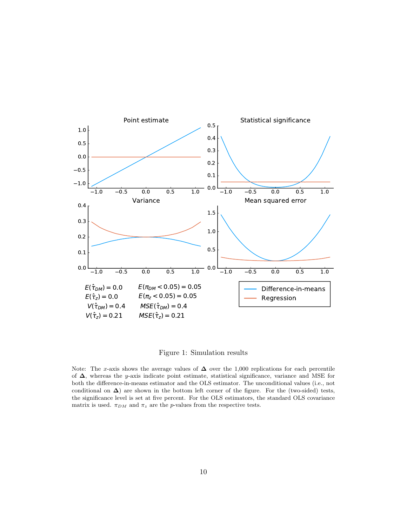<span id="page-9-0"></span>

Figure 1: Simulation results

Note: The x-axis shows the average values of  $\Delta$  over the 1,000 replications for each percentile of ∆, whereas the y-axis indicate point estimate, statistical significance, variance and MSE for both the difference-in-means estimator and the OLS estimator. The unconditional values (i.e., not conditional on  $\Delta$ ) are shown in the bottom left corner of the figure. For the (two-sided) tests, the significance level is set at five percent. For the OLS estimators, the standard OLS covariance matrix is used.  $\pi_{DM}$  and  $\pi_z$  are the *p*-values from the respective tests.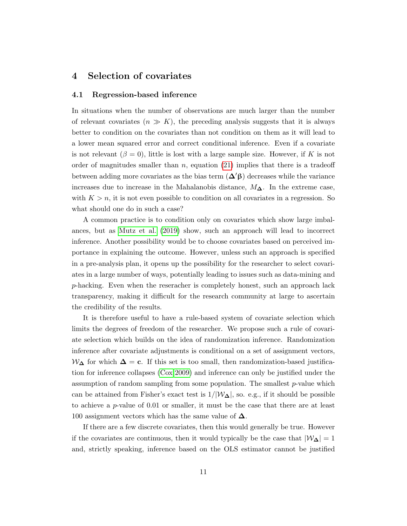## 4 Selection of covariates

#### <span id="page-10-0"></span>4.1 Regression-based inference

In situations when the number of observations are much larger than the number of relevant covariates  $(n \gg K)$ , the preceding analysis suggests that it is always better to condition on the covariates than not condition on them as it will lead to a lower mean squared error and correct conditional inference. Even if a covariate is not relevant ( $\beta = 0$ ), little is lost with a large sample size. However, if K is not order of magnitudes smaller than n, equation  $(21)$  implies that there is a tradeoff between adding more covariates as the bias term  $(\Delta' \beta)$  decreases while the variance increases due to increase in the Mahalanobis distance,  $M_{\Delta}$ . In the extreme case, with  $K > n$ , it is not even possible to condition on all covariates in a regression. So what should one do in such a case?

A common practice is to condition only on covariates which show large imbalances, but as [Mutz et al.](#page-37-0) [\(2019\)](#page-37-0) show, such an approach will lead to incorrect inference. Another possibility would be to choose covariates based on perceived importance in explaining the outcome. However, unless such an approach is specified in a pre-analysis plan, it opens up the possibility for the researcher to select covariates in a large number of ways, potentially leading to issues such as data-mining and p-hacking. Even when the reseracher is completely honest, such an approach lack transparency, making it difficult for the research community at large to ascertain the credibility of the results.

It is therefore useful to have a rule-based system of covariate selection which limits the degrees of freedom of the researcher. We propose such a rule of covariate selection which builds on the idea of randomization inference. Randomization inference after covariate adjustments is conditional on a set of assignment vectors,  $W_{\Delta}$  for which  $\Delta = c$ . If this set is too small, then randomization-based justification for inference collapses [\(Cox 2009\)](#page-36-3) and inference can only be justified under the assumption of random sampling from some population. The smallest  $p$ -value which can be attained from Fisher's exact test is  $1/|\mathcal{W}_{\Delta}|$ , so. e.g., if it should be possible to achieve a p-value of 0.01 or smaller, it must be the case that there are at least 100 assignment vectors which has the same value of  $\Delta$ .

If there are a few discrete covariates, then this would generally be true. However if the covariates are continuous, then it would typically be the case that  $|\mathcal{W}_{\Delta}| = 1$ and, strictly speaking, inference based on the OLS estimator cannot be justified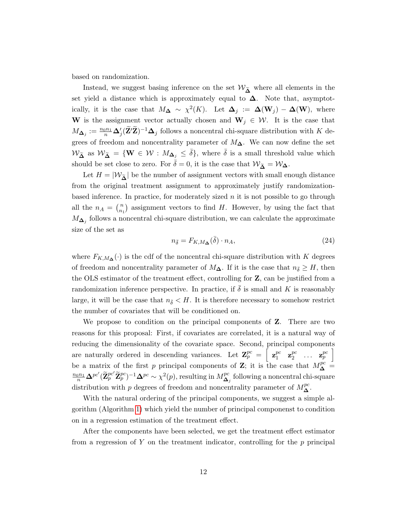based on randomization.

Instead, we suggest basing inference on the set  $\mathcal{W}_{\widetilde{\mathbf{A}}}$  where all elements in the set yield a distance which is approximately equal to  $\Delta$ . Note that, asymptotically, it is the case that  $M_{\mathbf{\Delta}} \sim \chi^2(K)$ . Let  $\mathbf{\Delta}_j := \mathbf{\Delta}(\mathbf{W}_j) - \mathbf{\Delta}(\mathbf{W})$ , where W is the assignment vector actually chosen and  $W_j \in \mathcal{W}$ . It is the case that  $M_{\mathbf{\Delta}_j} := \frac{n_0 n_1}{n} \mathbf{\Delta}_j' (\widetilde{\mathbf{Z}}' \widetilde{\mathbf{Z}})^{-1} \mathbf{\Delta}_j$  follows a noncentral chi-square distribution with K degrees of freedom and noncentrality parameter of  $M_{\Delta}$ . We can now define the set  $W_{\tilde{\Delta}}$  as  $W_{\tilde{\Delta}} = \{ \mathbf{W} \in \mathcal{W} : M_{\Delta_j} \leq \overline{\delta} \}$ , where  $\overline{\delta}$  is a small threshold value which should be set close to zero. For  $\bar{\delta} = 0$ , it is the case that  $\mathcal{W}_{\tilde{\Lambda}} = \mathcal{W}_{\Delta}$ .

Let  $H = |W_{\tilde{\Lambda}}|$  be the number of assignment vectors with small enough distance from the original treatment assignment to approximately justify randomizationbased inference. In practice, for moderately sized  $n$  it is not possible to go through all the  $n_A = \binom{n}{n_A}$  $\binom{n}{n_1}$  assignment vectors to find H. However, by using the fact that  $M_{\mathbf{\Delta}_j}$  follows a noncentral chi-square distribution, we can calculate the approximate size of the set as

$$
n_{\bar{\delta}} = F_{K,M_{\Delta}}(\bar{\delta}) \cdot n_A,\tag{24}
$$

where  $F_{K,M_{\Delta}}(\cdot)$  is the cdf of the noncentral chi-square distribution with K degrees of freedom and noncentrality parameter of  $M_{\mathbf{\Delta}}$ . If it is the case that  $n_{\bar{\delta}} \geq H$ , then the OLS estimator of the treatment effect, controlling for Z, can be justified from a randomization inference perspective. In practice, if  $\delta$  is small and K is reasonably large, it will be the case that  $n_{\bar{\delta}} < H$ . It is therefore necessary to somehow restrict the number of covariates that will be conditioned on.

We propose to condition on the principal components of Z. There are two reasons for this proposal: First, if covariates are correlated, it is a natural way of reducing the dimensionality of the covariate space. Second, principal components are naturally ordered in descending variances. Let  $\mathbf{Z}_{p}^{pc} = \left[ \begin{array}{c} \mathbf{z}_{1}^{pc} \end{array} \right]$  $\mathbf{z}_2^{pc}$   $\mathbf{z}_2^{pc}$  $\begin{bmatrix} pc \ 2 \end{bmatrix}$  ...  $\mathbf{z}_{p}^{pc}$  | be a matrix of the first p principal components of **Z**; it is the case that  $M_{\Delta}^{pc}$  =  $\frac{n_0n_1}{n}\mathbf{\Delta}^{pc'}(\widetilde{\mathbf{Z}}^{pc'}_p\widetilde{\mathbf{Z}}^{pc}_p)^{-1}\mathbf{\Delta}^{pc} \sim \chi^2(p),$  resulting in  $M^{pc}_{\mathbf{\Delta}}$  $\mathbf{a}_j^{\mathit{pc}}$  following a noncentral chi-square distribution with p degrees of freedom and noncentrality parameter of  $M_{\mathbf{\Delta}}^{pc}$ .

With the natural ordering of the principal components, we suggest a simple algorithm (Algorithm [1\)](#page-12-0) which yield the number of principal componenst to condition on in a regression estimation of the treatment effect.

After the components have been selected, we get the treatment effect estimator from a regression of Y on the treatment indicator, controlling for the  $p$  principal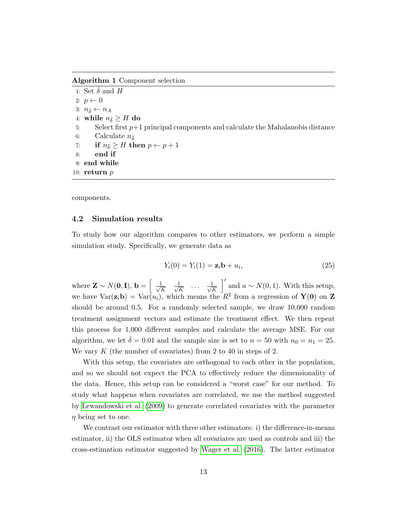<span id="page-12-0"></span>Algorithm 1 Component selection

1: Set  $\bar{\delta}$  and H 2:  $p \leftarrow 0$ 3:  $n_{\bar{\delta}} \leftarrow n_A$ 4: while  $n_{\bar{\delta}} \geq H$  do 5: Select first  $p+1$  principal components and calculate the Mahalanobis distance 6: Calculate  $n_{\bar{\delta}}$ 7: if  $n_{\bar{\delta}} \geq H$  then  $p \leftarrow p + 1$ 8: end if 9: end while 10: return  $p$ 

components.

### 4.2 Simulation results

To study how our algorithm compares to other estimators, we perform a simple simulation study. Specifically, we generate data as

$$
Y_i(0) = Y_i(1) = \mathbf{z}_i \mathbf{b} + u_i,
$$
\n(25)

where  $\mathbf{Z} \sim N(\mathbf{0}, \mathbf{I}), \mathbf{b} = \begin{bmatrix} 1 \\ 1 \end{bmatrix}$  $\frac{1}{K}$   $\frac{1}{\sqrt{l}}$  $\frac{1}{K}$  ...  $\frac{1}{\sqrt{l}}$ K  $\left\vert \right\rangle'$  and  $u \sim N(0, 1)$ . With this setup, we have  $Var(\mathbf{z}_i \mathbf{b}) = Var(u_i)$ , which means the  $R^2$  from a regression of  $\mathbf{Y(0)}$  on Z should be around 0.5. For a randomly selected sample, we draw 10,000 random treatment assignment vectors and estimate the treatment effect. We then repeat this process for 1,000 different samples and calculate the average MSE. For our algorithm, we let  $\bar{\delta} = 0.01$  and the sample size is set to  $n = 50$  with  $n_0 = n_1 = 25$ . We vary  $K$  (the number of covariates) from 2 to 40 in steps of 2.

With this setup, the covariates are orthogonal to each other in the population, and so we should not expect the PCA to effectively reduce the dimensionality of the data. Hence, this setup can be considered a "worst case" for our method. To study what happens when covariates are correlated, we use the method suggested by [Lewandowski et al.](#page-37-4) [\(2009\)](#page-37-4) to generate correlated covariates with the parameter  $\eta$  being set to one.

We contrast our estimator with three other estimators: i) the difference-in-means estimator, ii) the OLS estimator when all covariates are used as controls and iii) the cross-estimation estimator suggested by [Wager et al.](#page-37-5) [\(2016\)](#page-37-5). The latter estimator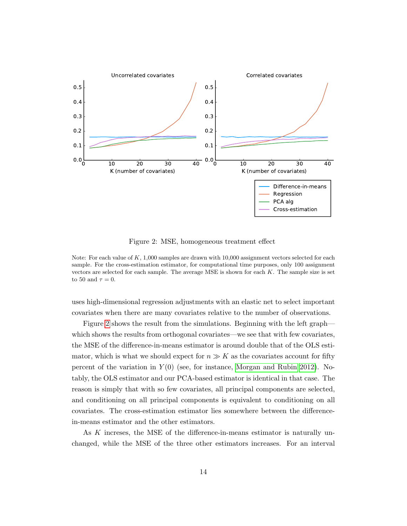<span id="page-13-0"></span>

Figure 2: MSE, homogeneous treatment effect

Note: For each value of  $K$ , 1,000 samples are drawn with 10,000 assignment vectors selected for each sample. For the cross-estimation estimator, for computational time purposes, only 100 assignment vectors are selected for each sample. The average MSE is shown for each  $K$ . The sample size is set to 50 and  $\tau = 0$ .

uses high-dimensional regression adjustments with an elastic net to select important covariates when there are many covariates relative to the number of observations.

Figure [2](#page-13-0) shows the result from the simulations. Beginning with the left graph which shows the results from orthogonal covariates—we see that with few covariates, the MSE of the difference-in-means estimator is around double that of the OLS estimator, which is what we should expect for  $n \gg K$  as the covariates account for fifty percent of the variation in  $Y(0)$  (see, for instance, [Morgan and Rubin 2012\)](#page-37-6). Notably, the OLS estimator and our PCA-based estimator is identical in that case. The reason is simply that with so few covariates, all principal components are selected, and conditioning on all principal components is equivalent to conditioning on all covariates. The cross-estimation estimator lies somewhere between the differencein-means estimator and the other estimators.

As K increses, the MSE of the difference-in-means estimator is naturally unchanged, while the MSE of the three other estimators increases. For an interval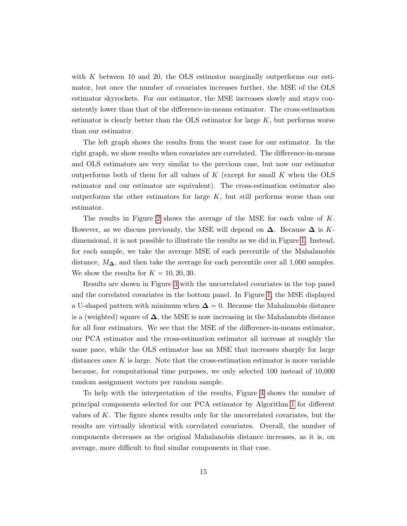with  $K$  between 10 and 20, the OLS estimator marginally outperforms our estimator, but once the number of covariates increases further, the MSE of the OLS estimator skyrockets. For our estimator, the MSE increases slowly and stays consistently lower than that of the difference-in-means estimator. The cross-estimation estimator is clearly better than the OLS estimator for large  $K$ , but performs worse than our estimator.

The left graph shows the results from the worst case for our estimator. In the right graph, we show results when covariates are correlated. The difference-in-means and OLS estimators are very similar to the previous case, but now our estimator outperforms both of them for all values of  $K$  (except for small  $K$  when the OLS estimator and our estimator are equivalent). The cross-estimation estimator also outperforms the other estimators for large  $K$ , but still performs worse than our estimator.

The results in Figure [2](#page-13-0) shows the average of the MSE for each value of K. However, as we discuss previously, the MSE will depend on  $\Delta$ . Because  $\Delta$  is Kdimensional, it is not possible to illustrate the results as we did in Figure [1.](#page-9-0) Instead, for each sample, we take the average MSE of each percentile of the Mahalanobis distance,  $M_{\Delta}$ , and then take the average for each percentile over all 1,000 samples. We show the results for  $K = 10, 20, 30$ .

Results are shown in Figure [3](#page-15-0) with the uncorrelated covariates in the top panel and the correlated covariates in the bottom panel. In Figure [1,](#page-9-0) the MSE displayed a U-shaped pattern with minimum when  $\Delta = 0$ . Because the Mahalanobis distance is a (weighted) square of  $\Delta$ , the MSE is now increasing in the Mahalanobis distance for all four estimators. We see that the MSE of the difference-in-means estimator, our PCA estimator and the cross-estimation estimator all increase at roughly the same pace, while the OLS estimator has an MSE that increases sharply for large distances once  $K$  is large. Note that the cross-estimation estimator is more variable because, for computational time purposes, we only selected 100 instead of 10,000 random assignment vectors per random sample.

To help with the interpretation of the results, Figure [4](#page-16-0) shows the number of principal components selected for our PCA estimator by Algorithm [1](#page-12-0) for different values of K. The figure shows results only for the uncorrelated covariates, but the results are virtually identical with correlated covariates. Overall, the number of components decreases as the original Mahalanobis distance increases, as it is, on average, more difficult to find similar components in that case.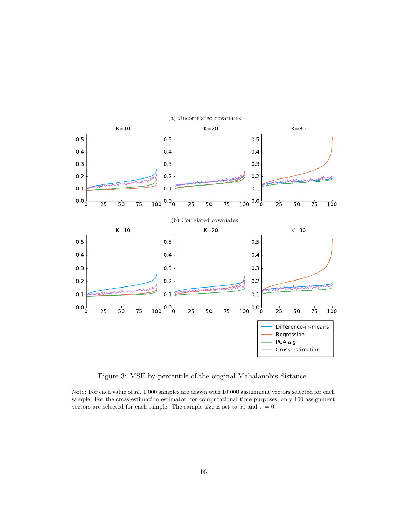<span id="page-15-0"></span>

Figure 3: MSE by percentile of the original Mahalanobis distance

Note: For each value of  $K$ , 1,000 samples are drawn with 10,000 assignment vectors selected for each sample. For the cross-estimation estimator, for computational time purposes, only 100 assignment vectors are selected for each sample. The sample size is set to 50 and  $\tau = 0$ .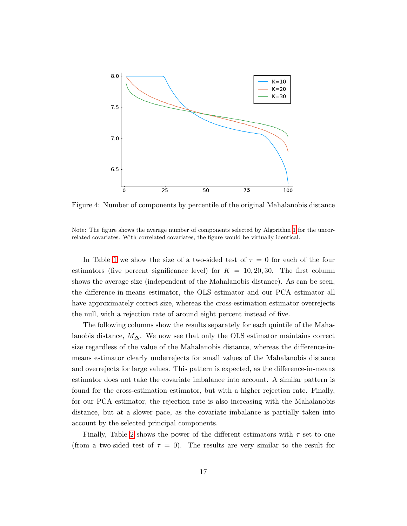<span id="page-16-0"></span>

Figure 4: Number of components by percentile of the original Mahalanobis distance

Note: The figure shows the average number of components selected by Algorithm [1](#page-12-0) for the uncorrelated covariates. With correlated covariates, the figure would be virtually identical.

In Table [1](#page-17-0) we show the size of a two-sided test of  $\tau = 0$  for each of the four estimators (five percent significance level) for  $K = 10, 20, 30$ . The first column shows the average size (independent of the Mahalanobis distance). As can be seen, the difference-in-means estimator, the OLS estimator and our PCA estimator all have approximately correct size, whereas the cross-estimation estimator overrejects the null, with a rejection rate of around eight percent instead of five.

The following columns show the results separately for each quintile of the Mahalanobis distance,  $M_{\Delta}$ . We now see that only the OLS estimator maintains correct size regardless of the value of the Mahalanobis distance, whereas the difference-inmeans estimator clearly underrejects for small values of the Mahalanobis distance and overrejects for large values. This pattern is expected, as the difference-in-means estimator does not take the covariate imbalance into account. A similar pattern is found for the cross-estimation estimator, but with a higher rejection rate. Finally, for our PCA estimator, the rejection rate is also increasing with the Mahalanobis distance, but at a slower pace, as the covariate imbalance is partially taken into account by the selected principal components.

Finally, Table [2](#page-19-0) shows the power of the different estimators with  $\tau$  set to one (from a two-sided test of  $\tau = 0$ ). The results are very similar to the result for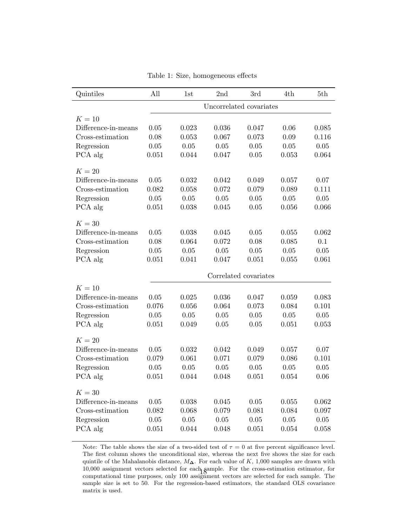<span id="page-17-0"></span>

| Quintiles           | All                     | 1st         | 2nd      | 3rd                   | 4th      | 5th      |  |
|---------------------|-------------------------|-------------|----------|-----------------------|----------|----------|--|
|                     | Uncorrelated covariates |             |          |                       |          |          |  |
| $K=10$              |                         |             |          |                       |          |          |  |
| Difference-in-means | 0.05                    | 0.023       | 0.036    | 0.047                 | 0.06     | 0.085    |  |
| Cross-estimation    | 0.08                    | 0.053       | 0.067    | 0.073                 | 0.09     | 0.116    |  |
| Regression          | 0.05                    | 0.05        | 0.05     | 0.05                  | 0.05     | 0.05     |  |
| PCA alg             | 0.051                   | 0.044       | 0.047    | 0.05                  | 0.053    | 0.064    |  |
| $K=20$              |                         |             |          |                       |          |          |  |
| Difference-in-means | 0.05                    | $\,0.032\,$ | 0.042    | 0.049                 | 0.057    | 0.07     |  |
| Cross-estimation    | 0.082                   | 0.058       | 0.072    | 0.079                 | 0.089    | 0.111    |  |
| Regression          | 0.05                    | 0.05        | 0.05     | 0.05                  | 0.05     | $0.05\,$ |  |
| PCA alg             | 0.051                   | 0.038       | 0.045    | 0.05                  | 0.056    | 0.066    |  |
| $K=30$              |                         |             |          |                       |          |          |  |
| Difference-in-means | 0.05                    | 0.038       | 0.045    | 0.05                  | 0.055    | 0.062    |  |
| Cross-estimation    | 0.08                    | 0.064       | 0.072    | 0.08                  | 0.085    | 0.1      |  |
| Regression          | 0.05                    | 0.05        | 0.05     | 0.05                  | 0.05     | 0.05     |  |
| PCA alg             | 0.051                   | 0.041       | 0.047    | 0.051                 | 0.055    | 0.061    |  |
|                     |                         |             |          | Correlated covariates |          |          |  |
| $K=10$              |                         |             |          |                       |          |          |  |
| Difference-in-means | 0.05                    | 0.025       | 0.036    | 0.047                 | 0.059    | 0.083    |  |
| Cross-estimation    | 0.076                   | 0.056       | 0.064    | 0.073                 | 0.084    | 0.101    |  |
| Regression          | 0.05                    | 0.05        | 0.05     | 0.05                  | 0.05     | 0.05     |  |
| PCA alg             | 0.051                   | 0.049       | 0.05     | 0.05                  | 0.051    | 0.053    |  |
| $K=20$              |                         |             |          |                       |          |          |  |
| Difference-in-means | 0.05                    | 0.032       | 0.042    | 0.049                 | 0.057    | 0.07     |  |
| Cross-estimation    | 0.079                   | 0.061       | 0.071    | 0.079                 | 0.086    | 0.101    |  |
| Regression          | 0.05                    | 0.05        | 0.05     | 0.05                  | 0.05     | 0.05     |  |
| PCA alg             | 0.051                   | 0.044       | 0.048    | 0.051                 | 0.054    | 0.06     |  |
| $K=30$              |                         |             |          |                       |          |          |  |
| Difference-in-means | 0.05                    | 0.038       | 0.045    | 0.05                  | 0.055    | 0.062    |  |
| Cross-estimation    | 0.082                   | 0.068       | 0.079    | 0.081                 | 0.084    | 0.097    |  |
| Regression          | 0.05                    | 0.05        | $0.05\,$ | 0.05                  | $0.05\,$ | 0.05     |  |
| PCA alg             | 0.051                   | 0.044       | 0.048    | 0.051                 | 0.054    | 0.058    |  |

Table 1: Size, homogeneous effects

Note: The table shows the size of a two-sided test of  $\tau = 0$  at five percent significance level. The first column shows the unconditional size, whereas the next five shows the size for each quintile of the Mahalanobis distance,  $M\Delta$ . For each value of K, 1,000 samples are drawn with 10,000 assignment vectors selected for each sample. For the cross-estimation estimator, for 10,000 assignment vectors selected for each gample. For the cross-estimation estimator, for<br>computational time purposes, only 100 assignment vectors are selected for each sample. The sample size is set to 50. For the regression-based estimators, the standard OLS covariance matrix is used.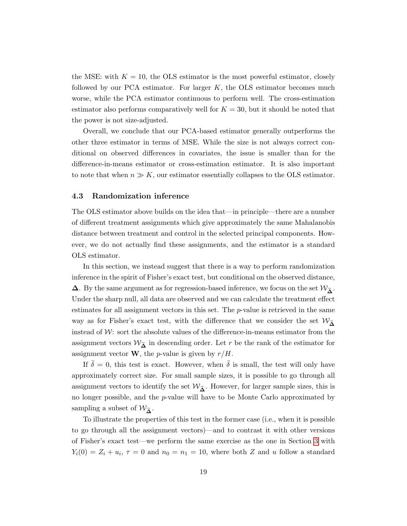the MSE: with  $K = 10$ , the OLS estimator is the most powerful estimator, closely followed by our PCA estimator. For larger  $K$ , the OLS estimator becomes much worse, while the PCA estimator continuous to perform well. The cross-estimation estimator also performs comparatively well for  $K = 30$ , but it should be noted that the power is not size-adjusted.

Overall, we conclude that our PCA-based estimator generally outperforms the other three estimator in terms of MSE. While the size is not always correct conditional on observed differences in covariates, the issue is smaller than for the difference-in-means estimator or cross-estimation estimator. It is also important to note that when  $n \gg K$ , our estimator essentially collapses to the OLS estimator.

#### 4.3 Randomization inference

The OLS estimator above builds on the idea that—in principle—there are a number of different treatment assignments which give approximately the same Mahalanobis distance between treatment and control in the selected principal components. However, we do not actually find these assignments, and the estimator is a standard OLS estimator.

In this section, we instead suggest that there is a way to perform randomization inference in the spirit of Fisher's exact test, but conditional on the observed distance,  $\Delta$ . By the same argument as for regression-based inference, we focus on the set  $\mathcal{W}_{\tilde{\lambda}}$ . Under the sharp null, all data are observed and we can calculate the treatment effect estimates for all assignment vectors in this set. The  $p$ -value is retrieved in the same way as for Fisher's exact test, with the difference that we consider the set  $W_{\tilde{\Lambda}}$ instead of  $W$ : sort the absolute values of the difference-in-means estimator from the assignment vectors  $W_{\tilde{\Lambda}}$  in descending order. Let r be the rank of the estimator for assignment vector **W**, the *p*-value is given by  $r/H$ .

If  $\delta = 0$ , this test is exact. However, when  $\delta$  is small, the test will only have approximately correct size. For small sample sizes, it is possible to go through all assignment vectors to identify the set  $\mathcal{W}_{\tilde{\mathbf{\Delta}}}$ . However, for larger sample sizes, this is no longer possible, and the p-value will have to be Monte Carlo approximated by sampling a subset of  $\mathcal{W}_{\mathbf{A}}$ .

To illustrate the properties of this test in the former case (i.e., when it is possible to go through all the assignment vectors)—and to contrast it with other versions of Fisher's exact test—we perform the same exercise as the one in Section [3](#page-7-0) with  $Y_i(0) = Z_i + u_i, \tau = 0$  and  $n_0 = n_1 = 10$ , where both Z and u follow a standard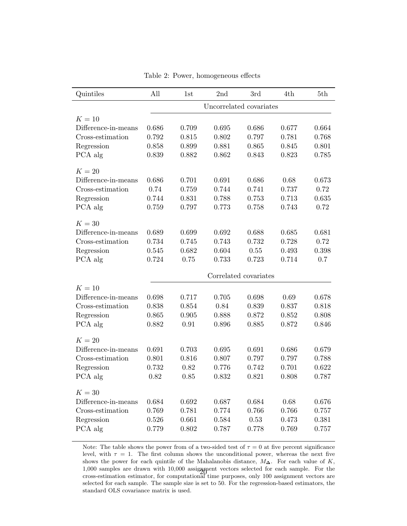<span id="page-19-0"></span>

| Quintiles           | All   | 1st                     | 2nd   | 3rd                   | 4th   | 5th   |  |  |
|---------------------|-------|-------------------------|-------|-----------------------|-------|-------|--|--|
|                     |       | Uncorrelated covariates |       |                       |       |       |  |  |
| $K=10$              |       |                         |       |                       |       |       |  |  |
| Difference-in-means | 0.686 | 0.709                   | 0.695 | 0.686                 | 0.677 | 0.664 |  |  |
| Cross-estimation    | 0.792 | 0.815                   | 0.802 | 0.797                 | 0.781 | 0.768 |  |  |
| Regression          | 0.858 | 0.899                   | 0.881 | 0.865                 | 0.845 | 0.801 |  |  |
| PCA alg             | 0.839 | 0.882                   | 0.862 | 0.843                 | 0.823 | 0.785 |  |  |
| $K=20$              |       |                         |       |                       |       |       |  |  |
| Difference-in-means | 0.686 | 0.701                   | 0.691 | 0.686                 | 0.68  | 0.673 |  |  |
| Cross-estimation    | 0.74  | 0.759                   | 0.744 | 0.741                 | 0.737 | 0.72  |  |  |
| Regression          | 0.744 | 0.831                   | 0.788 | 0.753                 | 0.713 | 0.635 |  |  |
| PCA alg             | 0.759 | 0.797                   | 0.773 | 0.758                 | 0.743 | 0.72  |  |  |
| $K=30$              |       |                         |       |                       |       |       |  |  |
| Difference-in-means | 0.689 | 0.699                   | 0.692 | 0.688                 | 0.685 | 0.681 |  |  |
| Cross-estimation    | 0.734 | 0.745                   | 0.743 | 0.732                 | 0.728 | 0.72  |  |  |
| Regression          | 0.545 | 0.682                   | 0.604 | 0.55                  | 0.493 | 0.398 |  |  |
| PCA alg             | 0.724 | 0.75                    | 0.733 | 0.723                 | 0.714 | 0.7   |  |  |
|                     |       |                         |       | Correlated covariates |       |       |  |  |
| $K=10$              |       |                         |       |                       |       |       |  |  |
| Difference-in-means | 0.698 | 0.717                   | 0.705 | 0.698                 | 0.69  | 0.678 |  |  |
| Cross-estimation    | 0.838 | 0.854                   | 0.84  | 0.839                 | 0.837 | 0.818 |  |  |
| Regression          | 0.865 | 0.905                   | 0.888 | 0.872                 | 0.852 | 0.808 |  |  |
| PCA alg             | 0.882 | 0.91                    | 0.896 | 0.885                 | 0.872 | 0.846 |  |  |
| $K=20$              |       |                         |       |                       |       |       |  |  |
| Difference-in-means | 0.691 | 0.703                   | 0.695 | 0.691                 | 0.686 | 0.679 |  |  |
| Cross-estimation    | 0.801 | 0.816                   | 0.807 | 0.797                 | 0.797 | 0.788 |  |  |
| Regression          | 0.732 | 0.82                    | 0.776 | 0.742                 | 0.701 | 0.622 |  |  |
| PCA alg             | 0.82  | 0.85                    | 0.832 | 0.821                 | 0.808 | 0.787 |  |  |
| $K=30$              |       |                         |       |                       |       |       |  |  |
| Difference-in-means | 0.684 | 0.692                   | 0.687 | 0.684                 | 0.68  | 0.676 |  |  |
| Cross-estimation    | 0.769 | 0.781                   | 0.774 | 0.766                 | 0.766 | 0.757 |  |  |
| Regression          | 0.526 | 0.661                   | 0.584 | 0.53                  | 0.473 | 0.381 |  |  |
| PCA alg             | 0.779 | 0.802                   | 0.787 | 0.778                 | 0.769 | 0.757 |  |  |

Table 2: Power, homogeneous effects

Note: The table shows the power from of a two-sided test of  $\tau = 0$  at five percent significance level, with  $\tau = 1$ . The first column shows the unconditional power, whereas the next five shows the power for each quintile of the Mahalanobis distance,  $M\Delta$ . For each value of K, 1,000 samples are drawn with 10,000 assignment vectors selected for each sample. For the 1,000 samples are drawn with 10,000 assigment vectors selected for each sample. For the cross-estimation estimator, for computational time purposes, only 100 assignment vectors are selected for each sample. The sample size is set to 50. For the regression-based estimators, the standard OLS covariance matrix is used.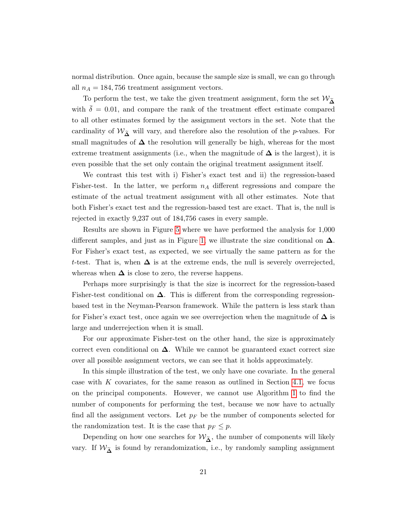normal distribution. Once again, because the sample size is small, we can go through all  $n_A = 184, 756$  treatment assignment vectors.

To perform the test, we take the given treatment assignment, form the set  $\mathcal{W}_{\widetilde{\mathbf{A}}}$ with  $\bar{\delta} = 0.01$ , and compare the rank of the treatment effect estimate compared to all other estimates formed by the assignment vectors in the set. Note that the cardinality of  $W_{\tilde{\Delta}}$  will vary, and therefore also the resolution of the p-values. For small magnitudes of  $\Delta$  the resolution will generally be high, whereas for the most extreme treatment assignments (i.e., when the magnitude of  $\Delta$  is the largest), it is even possible that the set only contain the original treatment assignment itself.

We contrast this test with i) Fisher's exact test and ii) the regression-based Fisher-test. In the latter, we perform  $n_A$  different regressions and compare the estimate of the actual treatment assignment with all other estimates. Note that both Fisher's exact test and the regression-based test are exact. That is, the null is rejected in exactly 9,237 out of 184,756 cases in every sample.

Results are shown in Figure [5](#page-21-0) where we have performed the analysis for 1,000 different samples, and just as in Figure [1,](#page-9-0) we illustrate the size conditional on  $\Delta$ . For Fisher's exact test, as expected, we see virtually the same pattern as for the t-test. That is, when  $\Delta$  is at the extreme ends, the null is severely overrejected, whereas when  $\Delta$  is close to zero, the reverse happens.

Perhaps more surprisingly is that the size is incorrect for the regression-based Fisher-test conditional on  $\Delta$ . This is different from the corresponding regressionbased test in the Neyman-Pearson framework. While the pattern is less stark than for Fisher's exact test, once again we see overrejection when the magnitude of  $\Delta$  is large and underrejection when it is small.

For our approximate Fisher-test on the other hand, the size is approximately correct even conditional on  $\Delta$ . While we cannot be guaranteed exact correct size over all possible assignment vectors, we can see that it holds approximately.

In this simple illustration of the test, we only have one covariate. In the general case with  $K$  covariates, for the same reason as outlined in Section [4.1,](#page-10-0) we focus on the principal components. However, we cannot use Algorithm [1](#page-12-0) to find the number of components for performing the test, because we now have to actually find all the assignment vectors. Let  $p_F$  be the number of components selected for the randomization test. It is the case that  $p_F \leq p$ .

Depending on how one searches for  $\mathcal{W}_{\tilde{\Delta}}$ , the number of components will likely vary. If  $W_{\tilde{\Delta}}$  is found by rerandomization, i.e., by randomly sampling assignment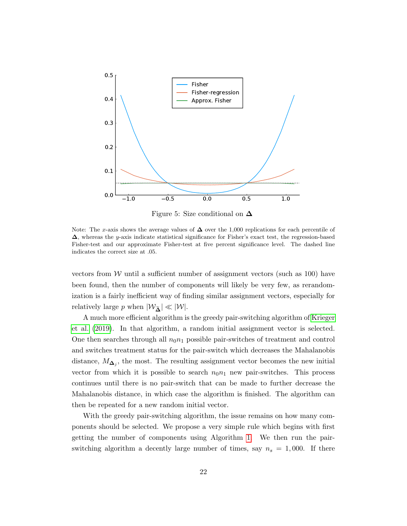<span id="page-21-0"></span>

Figure 5: Size conditional on ∆

Note: The x-axis shows the average values of  $\Delta$  over the 1,000 replications for each percentile of  $\Delta$ , whereas the y-axis indicate statistical significance for Fisher's exact test, the regression-based Fisher-test and our approximate Fisher-test at five percent significance level. The dashed line indicates the correct size at .05.

vectors from W until a sufficient number of assignment vectors (such as  $100$ ) have been found, then the number of components will likely be very few, as rerandomization is a fairly inefficient way of finding similar assignment vectors, especially for relatively large p when  $|\mathcal{W}_{\tilde{\mathbf{\Delta}}}|\ll |\mathcal{W}|$ .

A much more efficient algorithm is the greedy pair-switching algorithm of [Krieger](#page-37-7) [et al.](#page-37-7) [\(2019\)](#page-37-7). In that algorithm, a random initial assignment vector is selected. One then searches through all  $n_0n_1$  possible pair-switches of treatment and control and switches treatment status for the pair-switch which decreases the Mahalanobis distance,  $M_{\mathbf{\Delta}_j}$ , the most. The resulting assignment vector becomes the new initial vector from which it is possible to search  $n_0n_1$  new pair-switches. This process continues until there is no pair-switch that can be made to further decrease the Mahalanobis distance, in which case the algorithm is finished. The algorithm can then be repeated for a new random initial vector.

With the greedy pair-switching algorithm, the issue remains on how many components should be selected. We propose a very simple rule which begins with first getting the number of components using Algorithm [1.](#page-12-0) We then run the pairswitching algorithm a decently large number of times, say  $n_s = 1,000$ . If there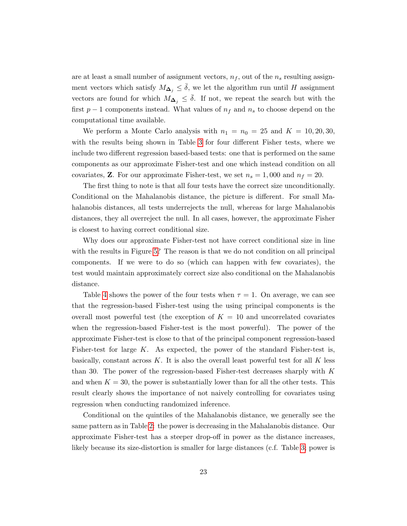are at least a small number of assignment vectors,  $n_f$ , out of the  $n_s$  resulting assignment vectors which satisfy  $M_{\Delta_i} \leq \delta$ , we let the algorithm run until H assignment vectors are found for which  $M_{\Delta_i} \leq \overline{\delta}$ . If not, we repeat the search but with the first  $p-1$  components instead. What values of  $n_f$  and  $n_s$  to choose depend on the computational time available.

We perform a Monte Carlo analysis with  $n_1 = n_0 = 25$  and  $K = 10, 20, 30$ , with the results being shown in Table [3](#page-23-0) for four different Fisher tests, where we include two different regression based-based tests: one that is performed on the same components as our approximate Fisher-test and one which instead condition on all covariates, **Z**. For our approximate Fisher-test, we set  $n_s = 1,000$  and  $n_f = 20$ .

The first thing to note is that all four tests have the correct size unconditionally. Conditional on the Mahalanobis distance, the picture is different. For small Mahalanobis distances, all tests underrejects the null, whereas for large Mahalanobis distances, they all overreject the null. In all cases, however, the approximate Fisher is closest to having correct conditional size.

Why does our approximate Fisher-test not have correct conditional size in line with the results in Figure [5?](#page-21-0) The reason is that we do not condition on all principal components. If we were to do so (which can happen with few covariates), the test would maintain approximately correct size also conditional on the Mahalanobis distance.

Table [4](#page-24-0) shows the power of the four tests when  $\tau = 1$ . On average, we can see that the regression-based Fisher-test using the using principal components is the overall most powerful test (the exception of  $K = 10$  and uncorrelated covariates when the regression-based Fisher-test is the most powerful). The power of the approximate Fisher-test is close to that of the principal component regression-based Fisher-test for large  $K$ . As expected, the power of the standard Fisher-test is, basically, constant across  $K$ . It is also the overall least powerful test for all K less than 30. The power of the regression-based Fisher-test decreases sharply with  $K$ and when  $K = 30$ , the power is substantially lower than for all the other tests. This result clearly shows the importance of not naively controlling for covariates using regression when conducting randomized inference.

Conditional on the quintiles of the Mahalanobis distance, we generally see the same pattern as in Table [2:](#page-19-0) the power is decreasing in the Mahalanobis distance. Our approximate Fisher-test has a steeper drop-off in power as the distance increases, likely because its size-distortion is smaller for large distances (c.f. Table [3;](#page-23-0) power is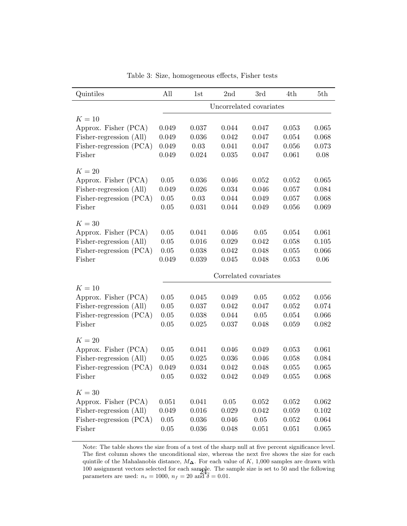<span id="page-23-0"></span>

| Quintiles               | All                     | 1st   | 2nd                   | 3rd       | 4th   | 5th   |  |  |
|-------------------------|-------------------------|-------|-----------------------|-----------|-------|-------|--|--|
|                         | Uncorrelated covariates |       |                       |           |       |       |  |  |
| $K=10$                  |                         |       |                       |           |       |       |  |  |
| Approx. Fisher (PCA)    | 0.049                   | 0.037 | 0.044                 | 0.047     | 0.053 | 0.065 |  |  |
| Fisher-regression (All) | 0.049                   | 0.036 | 0.042                 | 0.047     | 0.054 | 0.068 |  |  |
| Fisher-regression (PCA) | 0.049                   | 0.03  | 0.041                 | 0.047     | 0.056 | 0.073 |  |  |
| Fisher                  | 0.049                   | 0.024 | 0.035                 | 0.047     | 0.061 | 0.08  |  |  |
| $K=20$                  |                         |       |                       |           |       |       |  |  |
| Approx. Fisher (PCA)    | 0.05                    | 0.036 | 0.046                 | 0.052     | 0.052 | 0.065 |  |  |
| Fisher-regression (All) | 0.049                   | 0.026 | 0.034                 | 0.046     | 0.057 | 0.084 |  |  |
| Fisher-regression (PCA) | 0.05                    | 0.03  | 0.044                 | 0.049     | 0.057 | 0.068 |  |  |
| Fisher                  | 0.05                    | 0.031 | 0.044                 | 0.049     | 0.056 | 0.069 |  |  |
| $K=30$                  |                         |       |                       |           |       |       |  |  |
| Approx. Fisher (PCA)    | 0.05                    | 0.041 | 0.046                 | 0.05      | 0.054 | 0.061 |  |  |
| Fisher-regression (All) | 0.05                    | 0.016 | 0.029                 | 0.042     | 0.058 | 0.105 |  |  |
| Fisher-regression (PCA) | 0.05                    | 0.038 | 0.042                 | 0.048     | 0.055 | 0.066 |  |  |
| Fisher                  | 0.049                   | 0.039 | 0.045                 | 0.048     | 0.053 | 0.06  |  |  |
|                         |                         |       |                       |           |       |       |  |  |
|                         |                         |       | Correlated covariates |           |       |       |  |  |
| $K=10$                  |                         |       |                       |           |       |       |  |  |
| Approx. Fisher (PCA)    | 0.05                    | 0.045 | 0.049                 | 0.05      | 0.052 | 0.056 |  |  |
| Fisher-regression (All) | 0.05                    | 0.037 | 0.042                 | 0.047     | 0.052 | 0.074 |  |  |
| Fisher-regression (PCA) | 0.05                    | 0.038 | 0.044                 | 0.05      | 0.054 | 0.066 |  |  |
| Fisher                  | 0.05                    | 0.025 | 0.037                 | 0.048     | 0.059 | 0.082 |  |  |
| $K=20$                  |                         |       |                       |           |       |       |  |  |
| Approx. Fisher (PCA)    | 0.05                    | 0.041 | 0.046                 | 0.049     | 0.053 | 0.061 |  |  |
| Fisher-regression (All) | 0.05                    | 0.025 | 0.036                 | 0.046     | 0.058 | 0.084 |  |  |
| Fisher-regression (PCA) | 0.049                   | 0.034 | 0.042                 | 0.048     | 0.055 | 0.065 |  |  |
| Fisher                  | 0.05                    | 0.032 | 0.042                 | 0.049     | 0.055 | 0.068 |  |  |
| $K=30$                  |                         |       |                       |           |       |       |  |  |
| Approx. Fisher (PCA)    | 0.051                   | 0.041 | $0.05\,$              | 0.052     | 0.052 | 0.062 |  |  |
| Fisher-regression (All) | 0.049                   | 0.016 | 0.029                 | 0.042     | 0.059 | 0.102 |  |  |
| Fisher-regression (PCA) | $0.05\,$                | 0.036 | 0.046                 | $0.05\,$  | 0.052 | 0.064 |  |  |
| Fisher                  | $0.05\,$                | 0.036 | 0.048                 | $0.051\,$ | 0.051 | 0.065 |  |  |
|                         |                         |       |                       |           |       |       |  |  |

Table 3: Size, homogeneous effects, Fisher tests

Note: The table shows the size from of a test of the sharp null at five percent significance level. The first column shows the unconditional size, whereas the next five shows the size for each quintile of the Mahalanobis distance,  $M\Delta$ . For each value of K, 1,000 samples are drawn with 100 assignment vectors selected for each sample. The sample size is set to 50 and the following parameters are used:  $n_s = 1000$ ,  $n_f = 20$  and  $\delta = 0.01$ .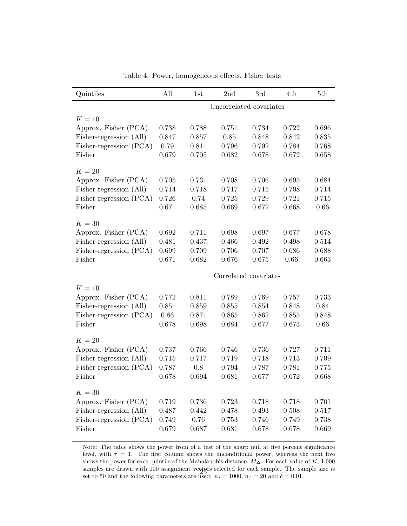<span id="page-24-0"></span>

| Quintiles               | All                     | 1st   | 2nd                   | 3rd   | 4th   | 5th   |  |  |
|-------------------------|-------------------------|-------|-----------------------|-------|-------|-------|--|--|
|                         | Uncorrelated covariates |       |                       |       |       |       |  |  |
| $K=10$                  |                         |       |                       |       |       |       |  |  |
| Approx. Fisher (PCA)    | 0.738                   | 0.788 | 0.751                 | 0.734 | 0.722 | 0.696 |  |  |
| Fisher-regression (All) | 0.847                   | 0.857 | 0.85                  | 0.848 | 0.842 | 0.835 |  |  |
| Fisher-regression (PCA) | 0.79                    | 0.811 | 0.796                 | 0.792 | 0.784 | 0.768 |  |  |
| Fisher                  | 0.679                   | 0.705 | 0.682                 | 0.678 | 0.672 | 0.658 |  |  |
| $K=20$                  |                         |       |                       |       |       |       |  |  |
| Approx. Fisher (PCA)    | 0.705                   | 0.731 | 0.708                 | 0.706 | 0.695 | 0.684 |  |  |
| Fisher-regression (All) | 0.714                   | 0.718 | 0.717                 | 0.715 | 0.708 | 0.714 |  |  |
| Fisher-regression (PCA) | 0.726                   | 0.74  | 0.725                 | 0.729 | 0.721 | 0.715 |  |  |
| Fisher                  | 0.671                   | 0.685 | 0.669                 | 0.672 | 0.668 | 0.66  |  |  |
| $K=30$                  |                         |       |                       |       |       |       |  |  |
| Approx. Fisher (PCA)    | 0.692                   | 0.711 | 0.698                 | 0.697 | 0.677 | 0.678 |  |  |
| Fisher-regression (All) | 0.481                   | 0.437 | 0.466                 | 0.492 | 0.498 | 0.514 |  |  |
| Fisher-regression (PCA) | 0.699                   | 0.709 | 0.706                 | 0.707 | 0.686 | 0.688 |  |  |
| Fisher                  | 0.671                   | 0.682 | 0.676                 | 0.675 | 0.66  | 0.663 |  |  |
|                         |                         |       | Correlated covariates |       |       |       |  |  |
| $K=10$                  |                         |       |                       |       |       |       |  |  |
| Approx. Fisher (PCA)    | 0.772                   | 0.811 | 0.789                 | 0.769 | 0.757 | 0.733 |  |  |
| Fisher-regression (All) | 0.851                   | 0.859 | 0.855                 | 0.854 | 0.848 | 0.84  |  |  |
| Fisher-regression (PCA) | 0.86                    | 0.871 | 0.865                 | 0.862 | 0.855 | 0.848 |  |  |
| Fisher                  | 0.678                   | 0.698 | 0.684                 | 0.677 | 0.673 | 0.66  |  |  |
|                         |                         |       |                       |       |       |       |  |  |
| $K=20$                  |                         |       |                       |       |       |       |  |  |
| Approx. Fisher (PCA)    | 0.737                   | 0.766 | 0.746                 | 0.736 | 0.727 | 0.711 |  |  |
| Fisher-regression (All) | 0.715                   | 0.717 | 0.719                 | 0.718 | 0.713 | 0.709 |  |  |
| Fisher-regression (PCA) | 0.787                   | 0.8   | 0.794                 | 0.787 | 0.781 | 0.775 |  |  |
| Fisher                  | 0.678                   | 0.694 | 0.681                 | 0.677 | 0.672 | 0.668 |  |  |
| $K=30$                  |                         |       |                       |       |       |       |  |  |
| Approx. Fisher (PCA)    | 0.719                   | 0.736 | 0.723                 | 0.718 | 0.718 | 0.701 |  |  |
| Fisher-regression (All) | 0.487                   | 0.442 | 0.478                 | 0.493 | 0.508 | 0.517 |  |  |
| Fisher-regression (PCA) | 0.749                   | 0.76  | 0.753                 | 0.746 | 0.749 | 0.738 |  |  |
| Fisher                  | 0.679                   | 0.687 | 0.681                 | 0.678 | 0.678 | 0.669 |  |  |

Table 4: Power, homogeneous effects, Fisher tests

Note: The table shows the power from of a test of the sharp null at five percent significance level, with  $\tau = 1$ . The first column shows the unconditional power, whereas the next five shows the power for each quintile of the Mahalanobis distance,  $M\Delta$ . For each value of K, 1,000 samples are drawn with 100 assignment vectors selected for each sample. The sample size is set to 50 and the following parameters are used:  $n_s = 1000$ ,  $n_f = 20$  and  $\bar{\delta} = 0.01$ .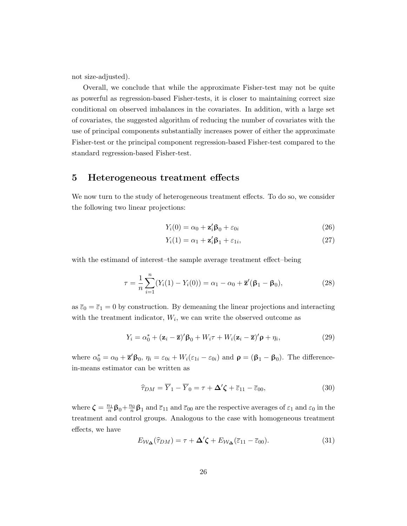not size-adjusted).

Overall, we conclude that while the approximate Fisher-test may not be quite as powerful as regression-based Fisher-tests, it is closer to maintaining correct size conditional on observed imbalances in the covariates. In addition, with a large set of covariates, the suggested algorithm of reducing the number of covariates with the use of principal components substantially increases power of either the approximate Fisher-test or the principal component regression-based Fisher-test compared to the standard regression-based Fisher-test.

## 5 Heterogeneous treatment effects

We now turn to the study of heterogeneous treatment effects. To do so, we consider the following two linear projections:

$$
Y_i(0) = \alpha_0 + \mathbf{z}_i' \mathbf{\beta}_0 + \varepsilon_{0i}
$$
 (26)

$$
Y_i(1) = \alpha_1 + \mathbf{z}_i' \mathbf{\beta}_1 + \varepsilon_{1i},\tag{27}
$$

with the estimand of interest–the sample average treatment effect–being

$$
\tau = \frac{1}{n} \sum_{i=1}^{n} (Y_i(1) - Y_i(0)) = \alpha_1 - \alpha_0 + \overline{\mathbf{z}}'(\beta_1 - \beta_0), \tag{28}
$$

as  $\bar{\varepsilon}_0 = \bar{\varepsilon}_1 = 0$  by construction. By demeaning the linear projections and interacting with the treatment indicator,  $W_i$ , we can write the observed outcome as

<span id="page-25-0"></span>
$$
Y_i = \alpha_0^* + (\mathbf{z}_i - \overline{\mathbf{z}})'\boldsymbol{\beta}_0 + W_i\tau + W_i(\mathbf{z}_i - \overline{\mathbf{z}})'\boldsymbol{\rho} + \eta_i,
$$
\n(29)

where  $\alpha_0^* = \alpha_0 + \overline{\mathbf{z}}' \beta_0$ ,  $\eta_i = \varepsilon_{0i} + W_i(\varepsilon_{1i} - \varepsilon_{0i})$  and  $\mathbf{\rho} = (\beta_1 - \beta_0)$ . The differencein-means estimator can be written as

$$
\widehat{\tau}_{DM} = \overline{Y}_1 - \overline{Y}_0 = \tau + \Delta' \zeta + \overline{\varepsilon}_{11} - \overline{\varepsilon}_{00},\tag{30}
$$

where  $\zeta = \frac{n_1}{n} \beta_0 + \frac{n_0}{n} \beta_1$  and  $\bar{\varepsilon}_{11}$  and  $\bar{\varepsilon}_{00}$  are the respective averages of  $\varepsilon_1$  and  $\varepsilon_0$  in the treatment and control groups. Analogous to the case with homogeneous treatment effects, we have

$$
E_{\mathcal{W}_{\Delta}}(\widehat{\tau}_{DM}) = \tau + \Delta' \zeta + E_{\mathcal{W}_{\Delta}}(\overline{\varepsilon}_{11} - \overline{\varepsilon}_{00}). \tag{31}
$$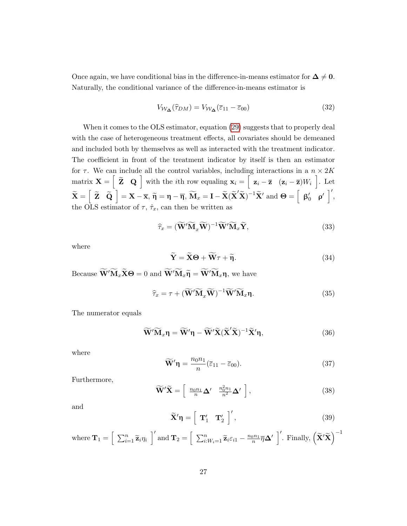Once again, we have conditional bias in the difference-in-means estimator for  $\Delta \neq 0$ . Naturally, the conditional variance of the difference-in-means estimator is

$$
V_{\mathcal{W}_{\Delta}}(\hat{\tau}_{DM}) = V_{\mathcal{W}_{\Delta}}(\bar{\varepsilon}_{11} - \bar{\varepsilon}_{00})
$$
\n(32)

When it comes to the OLS estimator, equation [\(29\)](#page-25-0) suggests that to properly deal with the case of heterogeneous treatment effects, all covariates should be demeaned and included both by themselves as well as interacted with the treatment indicator. The coefficient in front of the treatment indicator by itself is then an estimator for  $\tau$ . We can include all the control variables, including interactions in a  $n \times 2K$  $\text{matrix } \mathbf{X} = \begin{bmatrix} \widetilde{\mathbf{Z}} & \mathbf{Q} \end{bmatrix}$  with the *i*th row equaling  $\mathbf{x}_i = \begin{bmatrix} \mathbf{z}_i - \overline{\mathbf{z}} & (\mathbf{z}_i - \overline{\mathbf{z}})W_i \end{bmatrix}$ . Let  $\widetilde{\mathbf{X}} = \begin{bmatrix} \widetilde{\mathbf{Z}} & \widetilde{\mathbf{Q}} \end{bmatrix} = \mathbf{X} - \overline{\mathbf{x}}, \widetilde{\boldsymbol{\eta}} = \boldsymbol{\eta} - \overline{\boldsymbol{\eta}}, \widetilde{\mathbf{M}}_x = \mathbf{I} - \widetilde{\mathbf{X}} (\widetilde{\mathbf{X}}' \widetilde{\mathbf{X}})^{-1} \widetilde{\mathbf{X}}'$  and  $\boldsymbol{\Theta} = \begin{bmatrix} \beta_0' & \rho' \end{bmatrix}',$ the OLS estimator of  $\tau$ ,  $\hat{\tau}_x$ , can then be written as

$$
\widehat{\tau}_x = (\widetilde{\mathbf{W}}' \widetilde{\mathbf{M}}_x \widetilde{\mathbf{W}})^{-1} \widetilde{\mathbf{W}}' \widetilde{\mathbf{M}}_x \widetilde{\mathbf{Y}},
$$
\n(33)

where

$$
\widetilde{\mathbf{Y}} = \widetilde{\mathbf{X}} \Theta + \widetilde{\mathbf{W}} \tau + \widetilde{\eta}.\tag{34}
$$

Because  $\widetilde{W}'\widetilde{M}_x\widetilde{X}\Theta = 0$  and  $\widetilde{W}'\widetilde{M}_x\widetilde{\eta} = \widetilde{W}'\widetilde{M}_x\eta$ , we have

$$
\widehat{\tau}_x = \tau + (\widetilde{\mathbf{W}}'\widetilde{\mathbf{M}}_x\widetilde{\mathbf{W}})^{-1}\widetilde{\mathbf{W}}'\widetilde{\mathbf{M}}_x\mathbf{\eta}.
$$
\n(35)

The numerator equals

$$
\widetilde{\mathbf{W}}'\widetilde{\mathbf{M}}_x\mathbf{\eta} = \widetilde{\mathbf{W}}'\mathbf{\eta} - \widetilde{\mathbf{W}}'\widetilde{\mathbf{X}}(\widetilde{\mathbf{X}}'\widetilde{\mathbf{X}})^{-1}\widetilde{\mathbf{X}}'\mathbf{\eta},\tag{36}
$$

where

$$
\widetilde{\mathbf{W}}'\mathbf{\eta} = \frac{n_0 n_1}{n} (\overline{\varepsilon}_{11} - \overline{\varepsilon}_{00}).
$$
\n(37)

Furthermore,

$$
\widetilde{\mathbf{W}}'\widetilde{\mathbf{X}} = \left[\begin{array}{cc} \frac{n_0 n_1}{n} \Delta' & \frac{n_0^2 n_1}{n^2} \Delta' \end{array}\right],\tag{38}
$$

and

$$
\widetilde{\mathbf{X}}'\mathbf{\eta} = \left[\begin{array}{cc} \mathbf{T}'_1 & \mathbf{T}'_2 \end{array}\right]',\tag{39}
$$

where 
$$
\mathbf{T}_1 = \left[\sum_{i=1}^n \widetilde{\mathbf{z}}_i \eta_i\right]'
$$
 and  $\mathbf{T}_2 = \left[\sum_{i:W_i=1}^n \widetilde{\mathbf{z}}_i \varepsilon_{i1} - \frac{n_0 n_1}{n} \overline{\eta} \Delta' \right]'$ . Finally,  $(\widetilde{\mathbf{X}}' \widetilde{\mathbf{X}})^{-1}$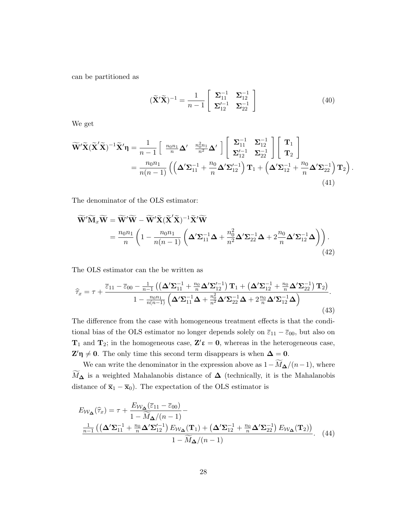can be partitioned as

$$
\left(\widetilde{\mathbf{X}}'\widetilde{\mathbf{X}}\right)^{-1} = \frac{1}{n-1} \left[ \begin{array}{cc} \mathbf{\Sigma}_{11}^{-1} & \mathbf{\Sigma}_{12}^{-1} \\ \mathbf{\Sigma}_{12}'^{-1} & \mathbf{\Sigma}_{22}^{-1} \end{array} \right] \tag{40}
$$

.

We get

$$
\widetilde{\mathbf{W}}'\widetilde{\mathbf{X}}(\widetilde{\mathbf{X}}'\widetilde{\mathbf{X}})^{-1}\widetilde{\mathbf{X}}'\eta = \frac{1}{n-1}\left[\begin{array}{cc} \frac{n_0n_1}{n}\Delta' & \frac{n_0^2n_1}{n^2}\Delta' \\ \frac{n_0n_1}{n}\Delta' & \frac{n_0^2n_1}{n^2}\Delta' \end{array}\right] \left[\begin{array}{c} \Sigma_{11}^{-1} & \Sigma_{12}^{-1} \\ \Sigma_{12}^{\prime -1} & \Sigma_{22}^{-1} \end{array}\right] \left[\begin{array}{c} \mathbf{T}_1 \\ \mathbf{T}_2 \end{array}\right]
$$
\n
$$
= \frac{n_0n_1}{n(n-1)} \left(\left(\Delta'\Sigma_{11}^{-1} + \frac{n_0}{n}\Delta'\Sigma_{12}^{\prime -1}\right)\mathbf{T}_1 + \left(\Delta'\Sigma_{12}^{-1} + \frac{n_0}{n}\Delta'\Sigma_{22}^{-1}\right)\mathbf{T}_2\right)
$$
\n(41)

The denominator of the OLS estimator:

$$
\widetilde{\mathbf{W}}'\widetilde{\mathbf{M}}_x\widetilde{\mathbf{W}} = \widetilde{\mathbf{W}}'\widetilde{\mathbf{W}} - \widetilde{\mathbf{W}}'\widetilde{\mathbf{X}}(\widetilde{\mathbf{X}}'\widetilde{\mathbf{X}})^{-1}\widetilde{\mathbf{X}}'\widetilde{\mathbf{W}} \n= \frac{n_0 n_1}{n} \left(1 - \frac{n_0 n_1}{n(n-1)} \left(\Delta' \Sigma_{11}^{-1} \Delta + \frac{n_0^2}{n^2} \Delta' \Sigma_{22}^{-1} \Delta + 2\frac{n_0}{n} \Delta' \Sigma_{12}^{-1} \Delta\right)\right).
$$
\n(42)

The OLS estimator can the be written as

$$
\widehat{\tau}_x = \tau + \frac{\overline{\varepsilon}_{11} - \overline{\varepsilon}_{00} - \frac{1}{n-1} \left( \left( \Delta' \Sigma_{11}^{-1} + \frac{n_0}{n} \Delta' \Sigma_{12}^{\prime -1} \right) \mathbf{T}_1 + \left( \Delta' \Sigma_{12}^{-1} + \frac{n_0}{n} \Delta' \Sigma_{22}^{-1} \right) \mathbf{T}_2 \right)}{1 - \frac{n_0 n_1}{n(n-1)} \left( \Delta' \Sigma_{11}^{-1} \Delta + \frac{n_0^2}{n^2} \Delta' \Sigma_{22}^{-1} \Delta + 2 \frac{n_0}{n} \Delta' \Sigma_{12}^{-1} \Delta \right)}.
$$
\n(43)

The difference from the case with homogeneous treatment effects is that the conditional bias of the OLS estimator no longer depends solely on  $\overline{\epsilon}_{11} - \overline{\epsilon}_{00}$ , but also on  $T_1$  and  $T_2$ ; in the homogeneous case,  $Z' \varepsilon = 0$ , whereas in the heterogeneous case,  $\mathbf{Z}'\mathbf{\eta} \neq \mathbf{0}$ . The only time this second term disappears is when  $\mathbf{\Delta} = \mathbf{0}$ .

We can write the denominator in the expression above as  $1-\widetilde{M}_{\Delta}/(n-1)$ , where  $M_{\Delta}$  is a weighted Mahalanobis distance of  $\Delta$  (technically, it is the Mahalanobis distance of  $\bar{\mathbf{x}}_1 - \bar{\mathbf{x}}_0$ . The expectation of the OLS estimator is

$$
E_{\mathcal{W}_{\Delta}}(\hat{\tau}_x) = \tau + \frac{E_{\mathcal{W}_{\Delta}}(\bar{\epsilon}_{11} - \bar{\epsilon}_{00})}{1 - \widetilde{M}_{\Delta}/(n-1)} - \frac{\frac{1}{n-1}\left(\left(\Delta'\Sigma_{11}^{-1} + \frac{n_0}{n}\Delta'\Sigma_{12}^{\prime - 1}\right)E_{\mathcal{W}_{\Delta}}(\mathbf{T}_1) + \left(\Delta'\Sigma_{12}^{-1} + \frac{n_0}{n}\Delta'\Sigma_{22}^{-1}\right)E_{\mathcal{W}_{\Delta}}(\mathbf{T}_2)\right)}{1 - \widetilde{M}_{\Delta}/(n-1)}.
$$
 (44)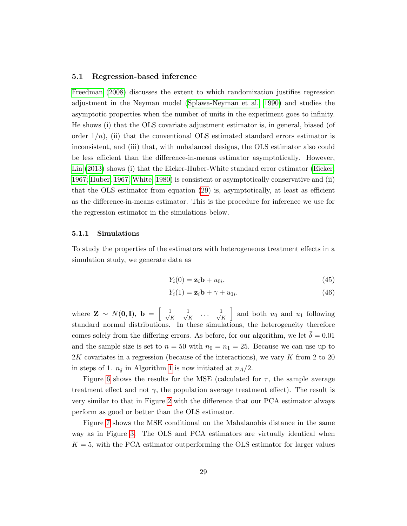#### 5.1 Regression-based inference

[Freedman](#page-36-0) [\(2008\)](#page-36-0) discusses the extent to which randomization justifies regression adjustment in the Neyman model [\(Splawa-Neyman et al., 1990\)](#page-37-8) and studies the asymptotic properties when the number of units in the experiment goes to infinity. He shows (i) that the OLS covariate adjustment estimator is, in general, biased (of order  $1/n$ , (ii) that the conventional OLS estimated standard errors estimator is inconsistent, and (iii) that, with unbalanced designs, the OLS estimator also could be less efficient than the difference-in-means estimator asymptotically. However, [Lin](#page-37-2) [\(2013\)](#page-37-2) shows (i) that the Eicker-Huber-White standard error estimator [\(Eicker,](#page-36-4) [1967;](#page-36-4) [Huber, 1967;](#page-36-5) [White, 1980\)](#page-37-9) is consistent or asymptotically conservative and (ii) that the OLS estimator from equation [\(29\)](#page-25-0) is, asymptotically, at least as efficient as the difference-in-means estimator. This is the procedure for inference we use for the regression estimator in the simulations below.

#### 5.1.1 Simulations

To study the properties of the estimators with heterogeneous treatment effects in a simulation study, we generate data as

<span id="page-28-1"></span><span id="page-28-0"></span>
$$
Y_i(0) = \mathbf{z}_i \mathbf{b} + u_{0i}, \qquad (45)
$$

$$
Y_i(1) = \mathbf{z}_i \mathbf{b} + \gamma + u_{1i}.\tag{46}
$$

where  $\mathbf{Z} \sim N(\mathbf{0}, \mathbf{I}), \mathbf{b} = \begin{bmatrix} 1 \\ 1 \end{bmatrix}$  $\frac{1}{K}$   $\frac{1}{\sqrt{l}}$  $\frac{1}{\overline{K}}$  ...  $\frac{1}{\sqrt{N}}$ K and both  $u_0$  and  $u_1$  following standard normal distributions. In these simulations, the heterogeneity therefore comes solely from the differing errors. As before, for our algorithm, we let  $\bar{\delta} = 0.01$ and the sample size is set to  $n = 50$  with  $n_0 = n_1 = 25$ . Because we can use up to 2K covariates in a regression (because of the interactions), we vary K from 2 to 20 in steps of [1](#page-12-0).  $n_{\bar{\delta}}$  in Algorithm 1 is now initiated at  $n_A/2$ .

Figure [6](#page-29-0) shows the results for the MSE (calculated for  $\tau$ , the sample average treatment effect and not  $\gamma$ , the population average treatment effect). The result is very similar to that in Figure [2](#page-13-0) with the difference that our PCA estimator always perform as good or better than the OLS estimator.

Figure [7](#page-31-0) shows the MSE conditional on the Mahalanobis distance in the same way as in Figure [3.](#page-15-0) The OLS and PCA estimators are virtually identical when  $K = 5$ , with the PCA estimator outperforming the OLS estimator for larger values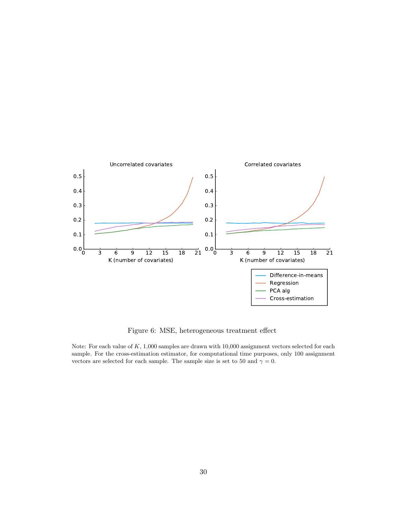<span id="page-29-0"></span>

Figure 6: MSE, heterogeneous treatment effect

Note: For each value of  $K$ , 1,000 samples are drawn with 10,000 assignment vectors selected for each sample. For the cross-estimation estimator, for computational time purposes, only 100 assignment vectors are selected for each sample. The sample size is set to 50 and  $\gamma = 0$ .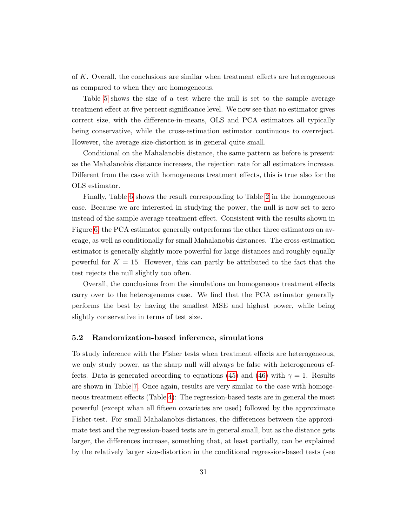of K. Overall, the conclusions are similar when treatment effects are heterogeneous as compared to when they are homogeneous.

Table [5](#page-32-0) shows the size of a test where the null is set to the sample average treatment effect at five percent significance level. We now see that no estimator gives correct size, with the difference-in-means, OLS and PCA estimators all typically being conservative, while the cross-estimation estimator continuous to overreject. However, the average size-distortion is in general quite small.

Conditional on the Mahalanobis distance, the same pattern as before is present: as the Mahalanobis distance increases, the rejection rate for all estimators increase. Different from the case with homogeneous treatment effects, this is true also for the OLS estimator.

Finally, Table [6](#page-33-0) shows the result corresponding to Table [2](#page-19-0) in the homogeneous case. Because we are interested in studying the power, the null is now set to zero instead of the sample average treatment effect. Consistent with the results shown in Figure [6,](#page-29-0) the PCA estimator generally outperforms the other three estimators on average, as well as conditionally for small Mahalanobis distances. The cross-estimation estimator is generally slightly more powerful for large distances and roughly equally powerful for  $K = 15$ . However, this can partly be attributed to the fact that the test rejects the null slightly too often.

Overall, the conclusions from the simulations on homogeneous treatment effects carry over to the heterogeneous case. We find that the PCA estimator generally performs the best by having the smallest MSE and highest power, while being slightly conservative in terms of test size.

### 5.2 Randomization-based inference, simulations

To study inference with the Fisher tests when treatment effects are heterogeneous, we only study power, as the sharp null will always be false with heterogeneous ef-fects. Data is generated according to equations [\(45\)](#page-28-0) and [\(46\)](#page-28-1) with  $\gamma = 1$ . Results are shown in Table [7.](#page-35-0) Once again, results are very similar to the case with homogeneous treatment effects (Table [4\)](#page-24-0): The regression-based tests are in general the most powerful (except whan all fifteen covariates are used) followed by the approximate Fisher-test. For small Mahalanobis-distances, the differences between the approximate test and the regression-based tests are in general small, but as the distance gets larger, the differences increase, something that, at least partially, can be explained by the relatively larger size-distortion in the conditional regression-based tests (see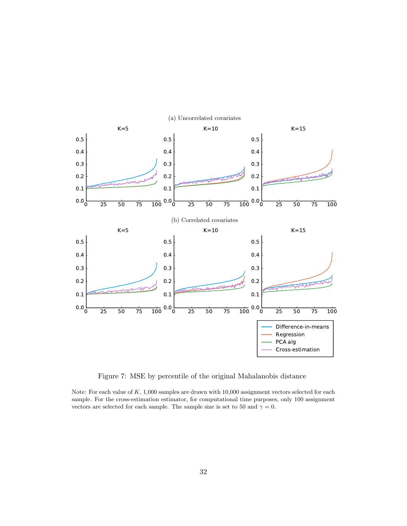<span id="page-31-0"></span>

Figure 7: MSE by percentile of the original Mahalanobis distance

Note: For each value of  $K$ , 1,000 samples are drawn with 10,000 assignment vectors selected for each sample. For the cross-estimation estimator, for computational time purposes, only 100 assignment vectors are selected for each sample. The sample size is set to 50 and  $\gamma = 0$ .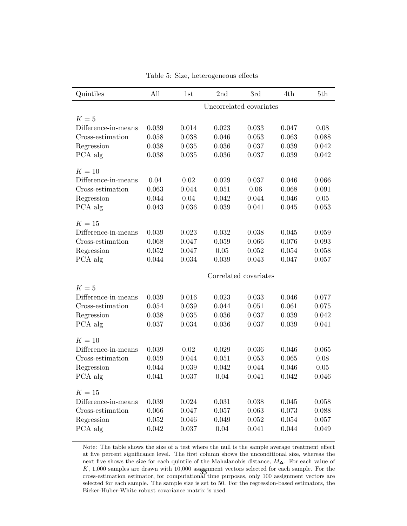<span id="page-32-0"></span>

| Quintiles           | All   | 1st   | 2nd   | 3rd                     | 4th   | 5th   |
|---------------------|-------|-------|-------|-------------------------|-------|-------|
|                     |       |       |       | Uncorrelated covariates |       |       |
| $K=5$               |       |       |       |                         |       |       |
| Difference-in-means | 0.039 | 0.014 | 0.023 | 0.033                   | 0.047 | 0.08  |
| Cross-estimation    | 0.058 | 0.038 | 0.046 | 0.053                   | 0.063 | 0.088 |
| Regression          | 0.038 | 0.035 | 0.036 | 0.037                   | 0.039 | 0.042 |
| PCA alg             | 0.038 | 0.035 | 0.036 | 0.037                   | 0.039 | 0.042 |
| $K=10$              |       |       |       |                         |       |       |
| Difference-in-means | 0.04  | 0.02  | 0.029 | 0.037                   | 0.046 | 0.066 |
| Cross-estimation    | 0.063 | 0.044 | 0.051 | 0.06                    | 0.068 | 0.091 |
| Regression          | 0.044 | 0.04  | 0.042 | 0.044                   | 0.046 | 0.05  |
| PCA alg             | 0.043 | 0.036 | 0.039 | 0.041                   | 0.045 | 0.053 |
| $K=15$              |       |       |       |                         |       |       |
| Difference-in-means | 0.039 | 0.023 | 0.032 | 0.038                   | 0.045 | 0.059 |
| Cross-estimation    | 0.068 | 0.047 | 0.059 | 0.066                   | 0.076 | 0.093 |
| Regression          | 0.052 | 0.047 | 0.05  | 0.052                   | 0.054 | 0.058 |
| PCA alg             | 0.044 | 0.034 | 0.039 | 0.043                   | 0.047 | 0.057 |
|                     |       |       |       | Correlated covariates   |       |       |
| $K=5$               |       |       |       |                         |       |       |
| Difference-in-means | 0.039 | 0.016 | 0.023 | 0.033                   | 0.046 | 0.077 |
| Cross-estimation    | 0.054 | 0.039 | 0.044 | 0.051                   | 0.061 | 0.075 |
| Regression          | 0.038 | 0.035 | 0.036 | 0.037                   | 0.039 | 0.042 |
| PCA alg             | 0.037 | 0.034 | 0.036 | 0.037                   | 0.039 | 0.041 |
| $K=10$              |       |       |       |                         |       |       |
| Difference-in-means | 0.039 | 0.02  | 0.029 | 0.036                   | 0.046 | 0.065 |
| Cross-estimation    | 0.059 | 0.044 | 0.051 | 0.053                   | 0.065 | 0.08  |
| Regression          | 0.044 | 0.039 | 0.042 | 0.044                   | 0.046 | 0.05  |
| PCA alg             | 0.041 | 0.037 | 0.04  | 0.041                   | 0.042 | 0.046 |
| $K=15$              |       |       |       |                         |       |       |
| Difference-in-means | 0.039 | 0.024 | 0.031 | 0.038                   | 0.045 | 0.058 |
| Cross-estimation    | 0.066 | 0.047 | 0.057 | 0.063                   | 0.073 | 0.088 |
| Regression          | 0.052 | 0.046 | 0.049 | 0.052                   | 0.054 | 0.057 |
| PCA alg             | 0.042 | 0.037 | 0.04  | 0.041                   | 0.044 | 0.049 |

Table 5: Size, heterogeneous effects

Note: The table shows the size of a test where the null is the sample average treatment effect at five percent significance level. The first column shows the unconditional size, whereas the next five shows the size for each quintile of the Mahalanobis distance, M∆. For each value of  $K$ , 1,000 samples are drawn with 10,000 assignment vectors selected for each sample. For the A, 1,000 samples are drawn with 10,000 assignment vectors selected for each sample. For the cross-estimation estimator, for computational time purposes, only 100 assignment vectors are selected for each sample. The sample size is set to 50. For the regression-based estimators, the Eicker-Huber-White robust covariance matrix is used.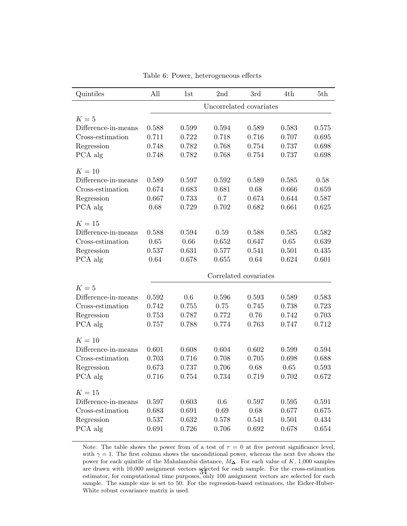<span id="page-33-0"></span>

| Quintiles           | All                     | 1st   | 2nd   | 3rd                   | 4th   | 5th   |  |
|---------------------|-------------------------|-------|-------|-----------------------|-------|-------|--|
|                     | Uncorrelated covariates |       |       |                       |       |       |  |
| $K=5$               |                         |       |       |                       |       |       |  |
| Difference-in-means | 0.588                   | 0.599 | 0.594 | 0.589                 | 0.583 | 0.575 |  |
| Cross-estimation    | 0.711                   | 0.722 | 0.718 | 0.716                 | 0.707 | 0.695 |  |
| Regression          | 0.748                   | 0.782 | 0.768 | 0.754                 | 0.737 | 0.698 |  |
| PCA alg             | 0.748                   | 0.782 | 0.768 | 0.754                 | 0.737 | 0.698 |  |
| $K=10$              |                         |       |       |                       |       |       |  |
| Difference-in-means | 0.589                   | 0.597 | 0.592 | 0.589                 | 0.585 | 0.58  |  |
| Cross-estimation    | 0.674                   | 0.683 | 0.681 | 0.68                  | 0.666 | 0.659 |  |
| Regression          | 0.667                   | 0.733 | 0.7   | 0.674                 | 0.644 | 0.587 |  |
| PCA alg             | 0.68                    | 0.729 | 0.702 | 0.682                 | 0.661 | 0.625 |  |
| $K=15$              |                         |       |       |                       |       |       |  |
| Difference-in-means | 0.588                   | 0.594 | 0.59  | 0.588                 | 0.585 | 0.582 |  |
| Cross-estimation    | 0.65                    | 0.66  | 0.652 | 0.647                 | 0.65  | 0.639 |  |
| Regression          | 0.537                   | 0.631 | 0.577 | 0.541                 | 0.501 | 0.435 |  |
| PCA alg             | 0.64                    | 0.678 | 0.655 | 0.64                  | 0.624 | 0.601 |  |
|                     |                         |       |       | Correlated covariates |       |       |  |
| $K=5$               |                         |       |       |                       |       |       |  |
| Difference-in-means | 0.592                   | 0.6   | 0.596 | 0.593                 | 0.589 | 0.583 |  |
| Cross-estimation    | 0.742                   | 0.755 | 0.75  | 0.745                 | 0.738 | 0.723 |  |
| Regression          | 0.753                   | 0.787 | 0.772 | 0.76                  | 0.742 | 0.703 |  |
| PCA alg             | 0.757                   | 0.788 | 0.774 | 0.763                 | 0.747 | 0.712 |  |
| $K=10$              |                         |       |       |                       |       |       |  |
| Difference-in-means | 0.601                   | 0.608 | 0.604 | 0.602                 | 0.599 | 0.594 |  |
| Cross-estimation    | 0.703                   | 0.716 | 0.708 | 0.705                 | 0.698 | 0.688 |  |
| Regression          | 0.673                   | 0.737 | 0.706 | 0.68                  | 0.65  | 0.593 |  |
| PCA alg             | 0.716                   | 0.754 | 0.734 | 0.719                 | 0.702 | 0.672 |  |
| $K=15$              |                         |       |       |                       |       |       |  |
| Difference-in-means | 0.597                   | 0.603 | 0.6   | $0.597\,$             | 0.595 | 0.591 |  |
| Cross-estimation    | 0.683                   | 0.691 | 0.69  | 0.68                  | 0.677 | 0.675 |  |
| Regression          | 0.537                   | 0.632 | 0.578 | 0.541                 | 0.501 | 0.434 |  |
| PCA alg             | 0.691                   |       |       |                       |       | 0.654 |  |

Table 6: Power, heterogeneous effects

Note: The table shows the power from of a test of  $\tau = 0$  at five percent significance level, with  $\gamma = 1$ . The first column shows the unconditional power, whereas the next five shows the power for each quintile of the Mahalanobis distance, M∆. For each value of K, 1,000 samples are drawn with 10,000 assignment vectors selected for each sample. For the cross-estimation are drawn with 10,000 assignment vectors selected for each sample. For the cross-estimation<br>estimator, for computational time purposes, only 100 assignment vectors are selected for each sample. The sample size is set to 50. For the regression-based estimators, the Eicker-Huber-White robust covariance matrix is used.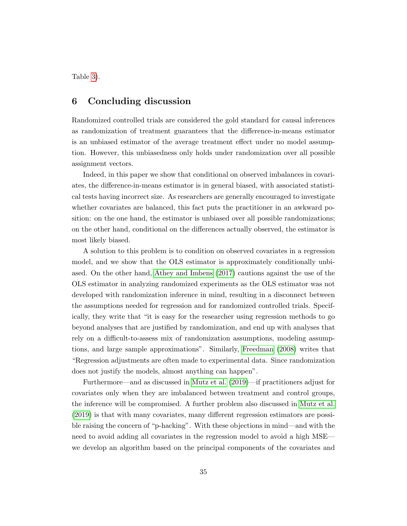Table [3\)](#page-23-0).

## 6 Concluding discussion

Randomized controlled trials are considered the gold standard for causal inferences as randomization of treatment guarantees that the difference-in-means estimator is an unbiased estimator of the average treatment effect under no model assumption. However, this unbiasedness only holds under randomization over all possible assignment vectors.

Indeed, in this paper we show that conditional on observed imbalances in covariates, the difference-in-means estimator is in general biased, with associated statistical tests having incorrect size. As researchers are generally encouraged to investigate whether covariates are balanced, this fact puts the practitioner in an awkward position: on the one hand, the estimator is unbiased over all possible randomizations; on the other hand, conditional on the differences actually observed, the estimator is most likely biased.

A solution to this problem is to condition on observed covariates in a regression model, and we show that the OLS estimator is approximately conditionally unbiased. On the other hand, [Athey and Imbens](#page-36-6) [\(2017\)](#page-36-6) cautions against the use of the OLS estimator in analyzing randomized experiments as the OLS estimator was not developed with randomization inference in mind, resulting in a disconnect between the assumptions needed for regression and for randomized controlled trials. Specifically, they write that "it is easy for the researcher using regression methods to go beyond analyses that are justified by randomization, and end up with analyses that rely on a difficult-to-assess mix of randomization assumptions, modeling assumptions, and large sample approximations". Similarly, [Freedman](#page-36-0) [\(2008\)](#page-36-0) writes that "Regression adjustments are often made to experimental data. Since randomization does not justify the models, almost anything can happen".

Furthermore—and as discussed in [Mutz et al.](#page-37-0) [\(2019\)](#page-37-0)—if practitioners adjust for covariates only when they are imbalanced between treatment and control groups, the inference will be compromised. A further problem also discussed in [Mutz et al.](#page-37-0) [\(2019\)](#page-37-0) is that with many covariates, many different regression estimators are possible raising the concern of "p-hacking". With these objections in mind—and with the need to avoid adding all covariates in the regression model to avoid a high MSE we develop an algorithm based on the principal components of the covariates and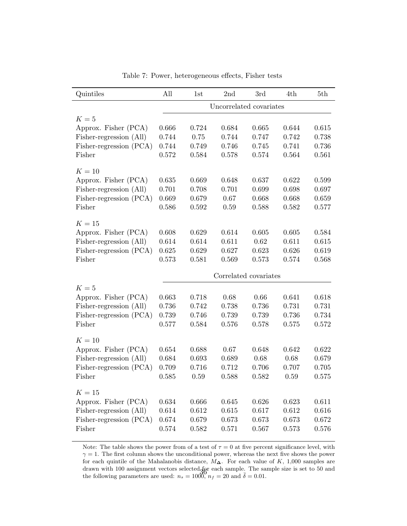<span id="page-35-0"></span>

| Quintiles               | All                     | 1st   | 2nd   | 3rd                   | 4th   | 5th   |  |  |
|-------------------------|-------------------------|-------|-------|-----------------------|-------|-------|--|--|
|                         | Uncorrelated covariates |       |       |                       |       |       |  |  |
| $K=5$                   |                         |       |       |                       |       |       |  |  |
| Approx. Fisher (PCA)    | 0.666                   | 0.724 | 0.684 | 0.665                 | 0.644 | 0.615 |  |  |
| Fisher-regression (All) | 0.744                   | 0.75  | 0.744 | 0.747                 | 0.742 | 0.738 |  |  |
| Fisher-regression (PCA) | 0.744                   | 0.749 | 0.746 | 0.745                 | 0.741 | 0.736 |  |  |
| Fisher                  | 0.572                   | 0.584 | 0.578 | 0.574                 | 0.564 | 0.561 |  |  |
| $K=10$                  |                         |       |       |                       |       |       |  |  |
| Approx. Fisher (PCA)    | 0.635                   | 0.669 | 0.648 | 0.637                 | 0.622 | 0.599 |  |  |
| Fisher-regression (All) | 0.701                   | 0.708 | 0.701 | 0.699                 | 0.698 | 0.697 |  |  |
| Fisher-regression (PCA) | 0.669                   | 0.679 | 0.67  | 0.668                 | 0.668 | 0.659 |  |  |
| Fisher                  | 0.586                   | 0.592 | 0.59  | 0.588                 | 0.582 | 0.577 |  |  |
| $K=15$                  |                         |       |       |                       |       |       |  |  |
| Approx. Fisher (PCA)    | 0.608                   | 0.629 | 0.614 | 0.605                 | 0.605 | 0.584 |  |  |
| Fisher-regression (All) | 0.614                   | 0.614 | 0.611 | 0.62                  | 0.611 | 0.615 |  |  |
| Fisher-regression (PCA) | 0.625                   | 0.629 | 0.627 | 0.623                 | 0.626 | 0.619 |  |  |
| Fisher                  | 0.573                   | 0.581 | 0.569 | 0.573                 | 0.574 | 0.568 |  |  |
|                         |                         |       |       | Correlated covariates |       |       |  |  |
| $K=5$                   |                         |       |       |                       |       |       |  |  |
| Approx. Fisher (PCA)    | 0.663                   | 0.718 | 0.68  | 0.66                  | 0.641 | 0.618 |  |  |
| Fisher-regression (All) | 0.736                   | 0.742 | 0.738 | 0.736                 | 0.731 | 0.731 |  |  |
| Fisher-regression (PCA) | 0.739                   | 0.746 | 0.739 | 0.739                 | 0.736 | 0.734 |  |  |
| Fisher                  | 0.577                   | 0.584 | 0.576 | 0.578                 | 0.575 | 0.572 |  |  |
| $K=10$                  |                         |       |       |                       |       |       |  |  |
| Approx. Fisher (PCA)    | 0.654                   | 0.688 | 0.67  | 0.648                 | 0.642 | 0.622 |  |  |
| Fisher-regression (All) | 0.684                   | 0.693 | 0.689 | 0.68                  | 0.68  | 0.679 |  |  |
| Fisher-regression (PCA) | 0.709                   | 0.716 | 0.712 | 0.706                 | 0.707 | 0.705 |  |  |
| Fisher                  | 0.585                   | 0.59  | 0.588 | 0.582                 | 0.59  | 0.575 |  |  |
| $K=15$                  |                         |       |       |                       |       |       |  |  |
| Approx. Fisher (PCA)    | 0.634                   | 0.666 | 0.645 | 0.626                 | 0.623 | 0.611 |  |  |
| Fisher-regression (All) | 0.614                   | 0.612 | 0.615 | 0.617                 | 0.612 | 0.616 |  |  |
| Fisher-regression (PCA) | 0.674                   | 0.679 | 0.673 | 0.673                 | 0.673 | 0.672 |  |  |
| Fisher                  | 0.574                   | 0.582 | 0.571 | 0.567                 | 0.573 | 0.576 |  |  |
|                         |                         |       |       |                       |       |       |  |  |

Table 7: Power, heterogeneous effects, Fisher tests

Note: The table shows the power from of a test of  $\tau = 0$  at five percent significance level, with  $\gamma=1.$  The first column shows the unconditional power, whereas the next five shows the power for each quintile of the Mahalanobis distance,  $M\Delta$ . For each value of K, 1,000 samples are drawn with 100 assignment vectors selected for each sample. The sample size is set to 50 and the following parameters are used:  $n_s = 1000$ ,  $n_f = 20$  and  $\bar{\delta} = 0.01$ .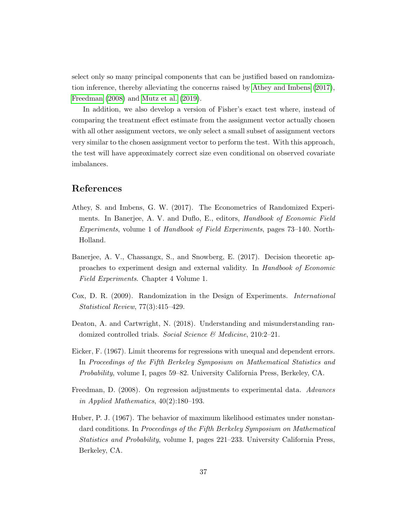select only so many principal components that can be justified based on randomization inference, thereby alleviating the concerns raised by [Athey and Imbens](#page-36-6) [\(2017\)](#page-36-6), [Freedman](#page-36-0) [\(2008\)](#page-36-0) and [Mutz et al.](#page-37-0) [\(2019\)](#page-37-0).

In addition, we also develop a version of Fisher's exact test where, instead of comparing the treatment effect estimate from the assignment vector actually chosen with all other assignment vectors, we only select a small subset of assignment vectors very similar to the chosen assignment vector to perform the test. With this approach, the test will have approximately correct size even conditional on observed covariate imbalances.

## References

- <span id="page-36-6"></span>Athey, S. and Imbens, G. W. (2017). The Econometrics of Randomized Experiments. In Banerjee, A. V. and Duflo, E., editors, Handbook of Economic Field Experiments, volume 1 of Handbook of Field Experiments, pages 73–140. North-Holland.
- <span id="page-36-2"></span>Banerjee, A. V., Chassangx, S., and Snowberg, E. (2017). Decision theoretic approaches to experiment design and external validity. In Handbook of Economic Field Experiments. Chapter 4 Volume 1.
- <span id="page-36-3"></span>Cox, D. R. (2009). Randomization in the Design of Experiments. International Statistical Review, 77(3):415–429.
- <span id="page-36-1"></span>Deaton, A. and Cartwright, N. (2018). Understanding and misunderstanding randomized controlled trials. Social Science & Medicine, 210:2–21.
- <span id="page-36-4"></span>Eicker, F. (1967). Limit theorems for regressions with unequal and dependent errors. In Proceedings of the Fifth Berkeley Symposium on Mathematical Statistics and Probability, volume I, pages 59–82. University California Press, Berkeley, CA.
- <span id="page-36-0"></span>Freedman, D. (2008). On regression adjustments to experimental data. Advances in Applied Mathematics, 40(2):180–193.
- <span id="page-36-5"></span>Huber, P. J. (1967). The behavior of maximum likelihood estimates under nonstandard conditions. In Proceedings of the Fifth Berkeley Symposium on Mathematical Statistics and Probability, volume I, pages 221–233. University California Press, Berkeley, CA.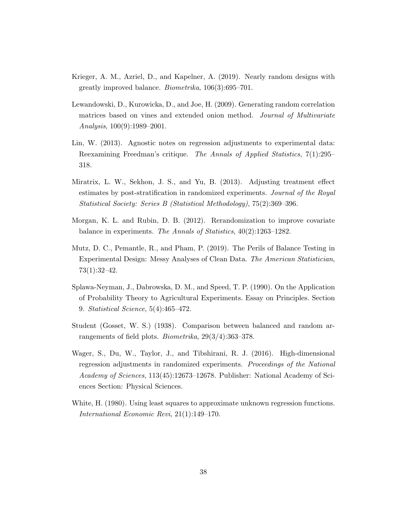- <span id="page-37-7"></span>Krieger, A. M., Azriel, D., and Kapelner, A. (2019). Nearly random designs with greatly improved balance. Biometrika, 106(3):695–701.
- <span id="page-37-4"></span>Lewandowski, D., Kurowicka, D., and Joe, H. (2009). Generating random correlation matrices based on vines and extended onion method. Journal of Multivariate Analysis, 100(9):1989–2001.
- <span id="page-37-2"></span>Lin, W. (2013). Agnostic notes on regression adjustments to experimental data: Reexamining Freedman's critique. The Annals of Applied Statistics, 7(1):295– 318.
- <span id="page-37-3"></span>Miratrix, L. W., Sekhon, J. S., and Yu, B. (2013). Adjusting treatment effect estimates by post-stratification in randomized experiments. Journal of the Royal Statistical Society: Series B (Statistical Methodology), 75(2):369–396.
- <span id="page-37-6"></span>Morgan, K. L. and Rubin, D. B. (2012). Rerandomization to improve covariate balance in experiments. The Annals of Statistics, 40(2):1263–1282.
- <span id="page-37-0"></span>Mutz, D. C., Pemantle, R., and Pham, P. (2019). The Perils of Balance Testing in Experimental Design: Messy Analyses of Clean Data. The American Statistician, 73(1):32–42.
- <span id="page-37-8"></span>Splawa-Neyman, J., Dabrowska, D. M., and Speed, T. P. (1990). On the Application of Probability Theory to Agricultural Experiments. Essay on Principles. Section 9. Statistical Science, 5(4):465–472.
- <span id="page-37-1"></span>Student (Gosset, W. S.) (1938). Comparison between balanced and random arrangements of field plots. Biometrika, 29(3/4):363–378.
- <span id="page-37-5"></span>Wager, S., Du, W., Taylor, J., and Tibshirani, R. J. (2016). High-dimensional regression adjustments in randomized experiments. Proceedings of the National Academy of Sciences, 113(45):12673–12678. Publisher: National Academy of Sciences Section: Physical Sciences.
- <span id="page-37-9"></span>White, H. (1980). Using least squares to approximate unknown regression functions. International Economic Revi, 21(1):149–170.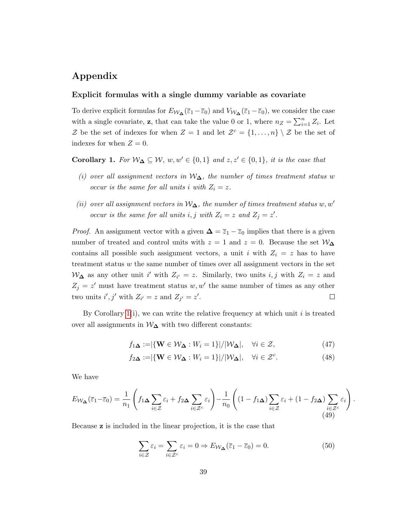## Appendix

### Explicit formulas with a single dummy variable as covariate

To derive explicit formulas for  $E_{W_{\Delta}}(\overline{\varepsilon}_1-\overline{\varepsilon}_0)$  and  $V_{W_{\Delta}}(\overline{\varepsilon}_1-\overline{\varepsilon}_0)$ , we consider the case with a single covariate, **z**, that can take the value 0 or 1, where  $n_Z = \sum_{i=1}^n Z_i$ . Let Z be the set of indexes for when  $Z = 1$  and let  $\mathcal{Z}^c = \{1, \ldots, n\} \setminus \mathcal{Z}$  be the set of indexes for when  $Z = 0$ .

<span id="page-38-0"></span>**Corollary 1.** For  $W_{\Delta} \subseteq W$ ,  $w, w' \in \{0, 1\}$  and  $z, z' \in \{0, 1\}$ , it is the case that

- (i) over all assignment vectors in  $W_{\Delta}$ , the number of times treatment status w occur is the same for all units i with  $Z_i = z$ .
- (ii) over all assignment vectors in  $W_{\Delta}$ , the number of times treatment status w, w' occur is the same for all units i, j with  $Z_i = z$  and  $Z_j = z'$ .

*Proof.* An assignment vector with a given  $\Delta = \overline{z}_1 - \overline{z}_0$  implies that there is a given number of treated and control units with  $z = 1$  and  $z = 0$ . Because the set  $W_{\Delta}$ contains all possible such assignment vectors, a unit i with  $Z_i = z$  has to have treatment status  $w$  the same number of times over all assignment vectors in the set  $W_{\Delta}$  as any other unit i' with  $Z_{i'} = z$ . Similarly, two units i, j with  $Z_i = z$  and  $Z_j = z'$  must have treatment status w, w' the same number of times as any other two units  $i', j'$  with  $Z_{i'} = z$  and  $Z_{j'} = z'$ .  $\Box$ 

By Corollary  $1(i)$ , we can write the relative frequency at which unit i is treated over all assignments in  $\mathcal{W}_{\Delta}$  with two different constants:

$$
f_{1\mathbf{\Delta}} := |\{\mathbf{W} \in \mathcal{W}_{\mathbf{\Delta}} : W_i = 1\}| / |\mathcal{W}_{\mathbf{\Delta}}|, \quad \forall i \in \mathcal{Z}, \tag{47}
$$

$$
f_{2\mathbf{\Delta}} := |\{\mathbf{W} \in \mathcal{W}_{\mathbf{\Delta}} : W_i = 1\}| / |\mathcal{W}_{\mathbf{\Delta}}|, \quad \forall i \in \mathcal{Z}^c. \tag{48}
$$

We have

$$
E_{\mathcal{W}_{\Delta}}(\overline{\varepsilon}_{1}-\overline{\varepsilon}_{0})=\frac{1}{n_{1}}\left(f_{1\Delta}\sum_{i\in\mathcal{Z}}\varepsilon_{i}+f_{2\Delta}\sum_{i\in\mathcal{Z}^{c}}\varepsilon_{i}\right)-\frac{1}{n_{0}}\left((1-f_{1\Delta})\sum_{i\in\mathcal{Z}}\varepsilon_{i}+(1-f_{2\Delta})\sum_{i\in\mathcal{Z}^{c}}\varepsilon_{i}\right).
$$
\n(49)

Because z is included in the linear projection, it is the case that

<span id="page-38-1"></span>
$$
\sum_{i \in \mathcal{Z}} \varepsilon_i = \sum_{i \in \mathcal{Z}^c} \varepsilon_i = 0 \Rightarrow E_{\mathcal{W}_{\Delta}}(\overline{\varepsilon}_1 - \overline{\varepsilon}_0) = 0. \tag{50}
$$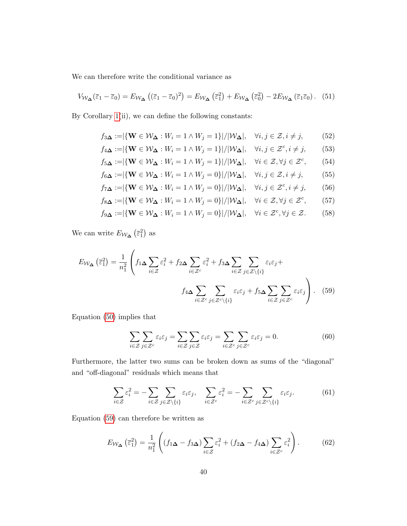We can therefore write the conditional variance as

$$
V_{\mathcal{W}_{\Delta}}(\overline{\varepsilon}_1 - \overline{\varepsilon}_0) = E_{\mathcal{W}_{\Delta}}\left((\overline{\varepsilon}_1 - \overline{\varepsilon}_0)^2\right) = E_{\mathcal{W}_{\Delta}}\left(\overline{\varepsilon}_1^2\right) + E_{\mathcal{W}_{\Delta}}\left(\overline{\varepsilon}_0^2\right) - 2E_{\mathcal{W}_{\Delta}}\left(\overline{\varepsilon}_1\overline{\varepsilon}_0\right). \tag{51}
$$

By Corollary [1\(](#page-38-0)ii), we can define the following constants:

$$
f_{3\Delta} := |\{\mathbf{W} \in \mathcal{W}_{\Delta} : W_i = 1 \land W_j = 1\}| / |\mathcal{W}_{\Delta}|, \quad \forall i, j \in \mathcal{Z}, i \neq j,
$$
(52)  

$$
f_{4\Delta} := |\{\mathbf{W} \in \mathcal{W}_{\Delta} : W_i = 1 \land W_j = 1\}| / |\mathcal{W}_{\Delta}|, \quad \forall i, j \in \mathcal{Z}^c, i \neq j,
$$
(53)

$$
f_{5\Delta} := |\{\mathbf{W} \in \mathcal{W}_{\Delta} : W_i = 1 \land W_j = 1\}| / |\mathcal{W}_{\Delta}|, \quad \forall i \in \mathcal{Z}, \forall j \in \mathcal{Z}^c,
$$
 (54)

$$
f_{6\Delta} := |\{ \mathbf{W} \in \mathcal{W}_{\Delta} : W_i = 1 \land W_j = 0 \}| / |\mathcal{W}_{\Delta}|, \quad \forall i, j \in \mathcal{Z}, i \neq j,
$$
 (55)

$$
f_{7\mathbf{\Delta}} := |\{\mathbf{W} \in \mathcal{W}_{\mathbf{\Delta}} : W_i = 1 \land W_j = 0\}| / |\mathcal{W}_{\mathbf{\Delta}}|, \quad \forall i, j \in \mathcal{Z}^c, i \neq j,
$$
 (56)

$$
f_{8\Delta} := |\{\mathbf{W} \in \mathcal{W}_{\Delta} : W_i = 1 \land W_j = 0\}| / |\mathcal{W}_{\Delta}|, \quad \forall i \in \mathcal{Z}, \forall j \in \mathcal{Z}^c,
$$
 (57)

$$
f_{9\mathbf{\Delta}} := |\{\mathbf{W} \in \mathcal{W}_{\mathbf{\Delta}} : W_i = 1 \land W_j = 0\}| / |\mathcal{W}_{\mathbf{\Delta}}|, \quad \forall i \in \mathcal{Z}^c, \forall j \in \mathcal{Z}.
$$
 (58)

We can write  $E_{\mathcal{W}_{\mathbf{\Delta}}}(\overline{\varepsilon}_1^2)$  as

$$
E_{\mathcal{W}_{\Delta}}(\bar{\varepsilon}_{1}^{2}) = \frac{1}{n_{1}^{2}} \left( f_{1\Delta} \sum_{i \in \mathcal{Z}} \varepsilon_{i}^{2} + f_{2\Delta} \sum_{i \in \mathcal{Z}^{c}} \varepsilon_{i}^{2} + f_{3\Delta} \sum_{i \in \mathcal{Z}} \sum_{j \in \mathcal{Z} \setminus \{i\}} \varepsilon_{i} \varepsilon_{j} + f_{4\Delta} \sum_{i \in \mathcal{Z}^{c}} \sum_{j \in \mathcal{Z}^{c} \setminus \{i\}} \varepsilon_{i} \varepsilon_{j} + f_{5\Delta} \sum_{i \in \mathcal{Z}} \sum_{j \in \mathcal{Z}^{c}} \varepsilon_{i} \varepsilon_{j} \right). (59)
$$

Equation [\(50\)](#page-38-1) implies that

<span id="page-39-0"></span>
$$
\sum_{i \in \mathcal{Z}} \sum_{j \in \mathcal{Z}^c} \varepsilon_i \varepsilon_j = \sum_{i \in \mathcal{Z}} \sum_{j \in \mathcal{Z}} \varepsilon_i \varepsilon_j = \sum_{i \in \mathcal{Z}^c} \sum_{j \in \mathcal{Z}^c} \varepsilon_i \varepsilon_j = 0.
$$
 (60)

Furthermore, the latter two sums can be broken down as sums of the "diagonal" and "off-diagonal" residuals which means that

$$
\sum_{i \in \mathcal{Z}} \varepsilon_i^2 = -\sum_{i \in \mathcal{Z}} \sum_{j \in \mathcal{Z} \setminus \{i\}} \varepsilon_i \varepsilon_j, \quad \sum_{i \in \mathcal{Z}^c} \varepsilon_i^2 = -\sum_{i \in \mathcal{Z}^c} \sum_{j \in \mathcal{Z}^c \setminus \{i\}} \varepsilon_i \varepsilon_j.
$$
 (61)

Equation [\(59\)](#page-39-0) can therefore be written as

<span id="page-39-1"></span>
$$
E_{\mathcal{W}_{\mathbf{\Delta}}}(\bar{\varepsilon}_1^2) = \frac{1}{n_1^2} \left( (f_{1\mathbf{\Delta}} - f_{3\mathbf{\Delta}}) \sum_{i \in \mathcal{Z}} \varepsilon_i^2 + (f_{2\mathbf{\Delta}} - f_{4\mathbf{\Delta}}) \sum_{i \in \mathcal{Z}^c} \varepsilon_i^2 \right). \tag{62}
$$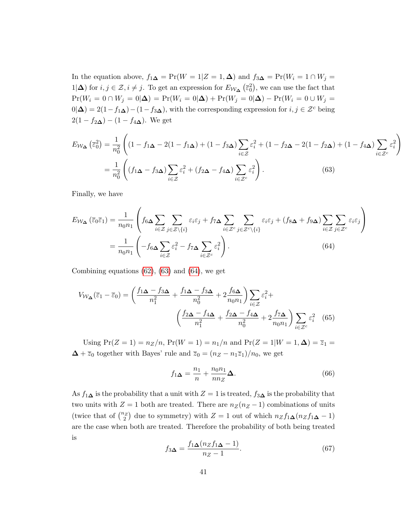In the equation above,  $f_{1\mathbf{\Delta}} = \Pr(W = 1|Z = 1, \mathbf{\Delta})$  and  $f_{3\mathbf{\Delta}} = \Pr(W_i = 1 \cap W_j =$ 1|∆) for  $i, j \in \mathcal{Z}, i \neq j$ . To get an expression for  $E_{\mathcal{W}_{\Delta}}(\bar{\varepsilon}_0^2)$ , we can use the fact that  $Pr(W_i = 0 \cap W_j = 0 | \Delta) = Pr(W_i = 0 | \Delta) + Pr(W_j = 0 | \Delta) - Pr(W_i = 0 \cup W_j = 0 | \Delta)$  $0|\Delta\rangle = 2(1-f_1\Delta)-(1-f_3\Delta)$ , with the corresponding expression for  $i, j \in \mathcal{Z}^c$  being  $2(1 - f_{2\mathbf{\Delta}}) - (1 - f_{4\mathbf{\Delta}}).$  We get

<span id="page-40-0"></span>
$$
E_{\mathcal{W}_{\Delta}}\left(\overline{\varepsilon}_{0}^{2}\right) = \frac{1}{n_{0}^{2}}\left((1-f_{1\Delta}-2(1-f_{1\Delta})+(1-f_{3\Delta})\sum_{i\in\mathcal{Z}}\varepsilon_{i}^{2}+(1-f_{2\Delta}-2(1-f_{2\Delta})+(1-f_{4\Delta})\sum_{i\in\mathcal{Z}^{c}}\varepsilon_{i}^{2}\right)
$$

$$
=\frac{1}{n_{0}^{2}}\left((f_{1\Delta}-f_{3\Delta})\sum_{i\in\mathcal{Z}}\varepsilon_{i}^{2}+(f_{2\Delta}-f_{4\Delta})\sum_{i\in\mathcal{Z}^{c}}\varepsilon_{i}^{2}\right).
$$
(63)

Finally, we have

$$
E_{\mathcal{W}_{\Delta}}\left(\overline{\varepsilon}_{0}\overline{\varepsilon}_{1}\right) = \frac{1}{n_{0}n_{1}} \left( f_{6\Delta} \sum_{i \in \mathcal{Z}} \sum_{j \in \mathcal{Z} \setminus \{i\}} \varepsilon_{i}\varepsilon_{j} + f_{7\Delta} \sum_{i \in \mathcal{Z}^{c}} \sum_{j \in \mathcal{Z}^{c} \setminus \{i\}} \varepsilon_{i}\varepsilon_{j} + (f_{8\Delta} + f_{9\Delta}) \sum_{i \in \mathcal{Z}} \sum_{j \in \mathcal{Z}^{c}} \varepsilon_{i}\varepsilon_{j} \right)
$$

$$
= \frac{1}{n_{0}n_{1}} \left( -f_{6\Delta} \sum_{i \in \mathcal{Z}} \varepsilon_{i}^{2} - f_{7\Delta} \sum_{i \in \mathcal{Z}^{c}} \varepsilon_{i}^{2} \right). \tag{64}
$$

Combining equations [\(62\)](#page-39-1), [\(63\)](#page-40-0) and [\(64\)](#page-40-1), we get

$$
V_{\mathcal{W}_{\Delta}}(\overline{\varepsilon}_{1} - \overline{\varepsilon}_{0}) = \left(\frac{f_{1\Delta} - f_{3\Delta}}{n_{1}^{2}} + \frac{f_{1\Delta} - f_{3\Delta}}{n_{0}^{2}} + 2\frac{f_{6\Delta}}{n_{0}n_{1}}\right) \sum_{i \in \mathcal{Z}} \varepsilon_{i}^{2} + \left(\frac{f_{2\Delta} - f_{4\Delta}}{n_{1}^{2}} + \frac{f_{2\Delta} - f_{4\Delta}}{n_{0}^{2}} + 2\frac{f_{7\Delta}}{n_{0}n_{1}}\right) \sum_{i \in \mathcal{Z}^{c}} \varepsilon_{i}^{2} \quad (65)
$$

Using  $Pr(Z = 1) = n_Z/n$ ,  $Pr(W = 1) = n_1/n$  and  $Pr(Z = 1|W = 1, \Delta) = \overline{z}_1 =$  $\Delta + \overline{z}_0$  together with Bayes' rule and  $\overline{z}_0 = (n_Z - n_1\overline{z}_1)/n_0$ , we get

<span id="page-40-2"></span><span id="page-40-1"></span>
$$
f_{1\mathbf{\Delta}} = \frac{n_1}{n} + \frac{n_0 n_1}{n n_Z} \mathbf{\Delta}.
$$
 (66)

As  $f_1\Delta$  is the probability that a unit with  $Z=1$  is treated,  $f_3\Delta$  is the probability that two units with  $Z = 1$  both are treated. There are  $n_Z(n_Z - 1)$  combinations of units (twice that of  $\binom{n_Z}{2}$  due to symmetry) with  $Z = 1$  out of which  $n_Z f_1 \Delta (n_Z f_1 \Delta - 1)$ are the case when both are treated. Therefore the probability of both being treated is

$$
f_{3\Delta} = \frac{f_{1\Delta}(n_Z f_{1\Delta} - 1)}{n_Z - 1}.
$$
 (67)